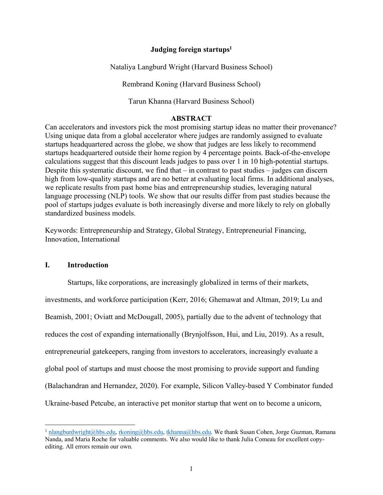# **Judging foreign startups1**

Nataliya Langburd Wright (Harvard Business School)

Rembrand Koning (Harvard Business School)

Tarun Khanna (Harvard Business School)

# **ABSTRACT**

Can accelerators and investors pick the most promising startup ideas no matter their provenance? Using unique data from a global accelerator where judges are randomly assigned to evaluate startups headquartered across the globe, we show that judges are less likely to recommend startups headquartered outside their home region by 4 percentage points. Back-of-the-envelope calculations suggest that this discount leads judges to pass over 1 in 10 high-potential startups. Despite this systematic discount, we find that  $-$  in contrast to past studies  $-$  judges can discern high from low-quality startups and are no better at evaluating local firms. In additional analyses, we replicate results from past home bias and entrepreneurship studies, leveraging natural language processing (NLP) tools. We show that our results differ from past studies because the pool of startups judges evaluate is both increasingly diverse and more likely to rely on globally standardized business models.

Keywords: Entrepreneurship and Strategy, Global Strategy, Entrepreneurial Financing, Innovation, International

# **I. Introduction**

Startups, like corporations, are increasingly globalized in terms of their markets,

investments, and workforce participation (Kerr, 2016; Ghemawat and Altman, 2019; Lu and

Beamish, 2001; Oviatt and McDougall, 2005), partially due to the advent of technology that

reduces the cost of expanding internationally (Brynjolfsson, Hui, and Liu, 2019). As a result,

entrepreneurial gatekeepers, ranging from investors to accelerators, increasingly evaluate a

global pool of startups and must choose the most promising to provide support and funding

(Balachandran and Hernandez, 2020). For example, Silicon Valley-based Y Combinator funded

Ukraine-based Petcube, an interactive pet monitor startup that went on to become a unicorn,

<sup>&</sup>lt;sup>1</sup> nlangburdwright@hbs.edu, rkoning@hbs.edu, tkhanna@hbs.edu. We thank Susan Cohen, Jorge Guzman, Ramana Nanda, and Maria Roche for valuable comments. We also would like to thank Julia Comeau for excellent copyediting. All errors remain our own.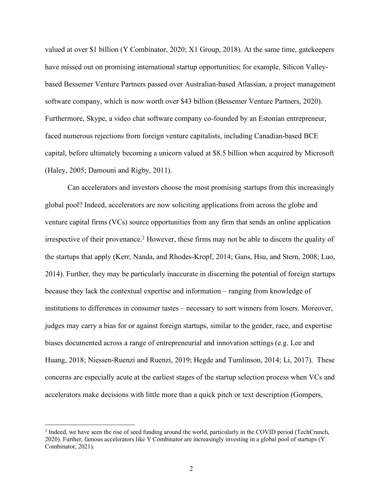valued at over \$1 billion (Y Combinator, 2020; X1 Group, 2018). At the same time, gatekeepers have missed out on promising international startup opportunities; for example, Silicon Valleybased Bessemer Venture Partners passed over Australian-based Atlassian, a project management software company, which is now worth over \$43 billion (Bessemer Venture Partners, 2020). Furthermore, Skype, a video chat software company co-founded by an Estonian entrepreneur, faced numerous rejections from foreign venture capitalists, including Canadian-based BCE capital, before ultimately becoming a unicorn valued at \$8.5 billion when acquired by Microsoft (Haley, 2005; Damouni and Rigby, 2011).

Can accelerators and investors choose the most promising startups from this increasingly global pool? Indeed, accelerators are now soliciting applications from across the globe and venture capital firms (VCs) source opportunities from any firm that sends an online application irrespective of their provenance. <sup>2</sup> However, these firms may not be able to discern the quality of the startups that apply (Kerr, Nanda, and Rhodes-Kropf, 2014; Gans, Hsu, and Stern, 2008; Luo, 2014). Further, they may be particularly inaccurate in discerning the potential of foreign startups because they lack the contextual expertise and information – ranging from knowledge of institutions to differences in consumer tastes – necessary to sort winners from losers. Moreover, judges may carry a bias for or against foreign startups, similar to the gender, race, and expertise biases documented across a range of entrepreneurial and innovation settings (e.g. Lee and Huang, 2018; Niessen-Ruenzi and Ruenzi, 2019; Hegde and Tumlinson, 2014; Li, 2017). These concerns are especially acute at the earliest stages of the startup selection process when VCs and accelerators make decisions with little more than a quick pitch or text description (Gompers,

<sup>&</sup>lt;sup>2</sup> Indeed, we have seen the rise of seed funding around the world, particularly in the COVID period (TechCrunch, 2020). Further, famous accelerators like Y Combinator are increasingly investing in a global pool of startups (Y Combinator, 2021).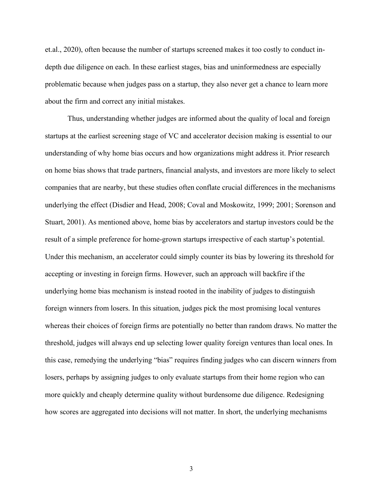et.al., 2020), often because the number of startups screened makes it too costly to conduct indepth due diligence on each. In these earliest stages, bias and uninformedness are especially problematic because when judges pass on a startup, they also never get a chance to learn more about the firm and correct any initial mistakes.

Thus, understanding whether judges are informed about the quality of local and foreign startups at the earliest screening stage of VC and accelerator decision making is essential to our understanding of why home bias occurs and how organizations might address it. Prior research on home bias shows that trade partners, financial analysts, and investors are more likely to select companies that are nearby, but these studies often conflate crucial differences in the mechanisms underlying the effect (Disdier and Head, 2008; Coval and Moskowitz, 1999; 2001; Sorenson and Stuart, 2001). As mentioned above, home bias by accelerators and startup investors could be the result of a simple preference for home-grown startups irrespective of each startup's potential. Under this mechanism, an accelerator could simply counter its bias by lowering its threshold for accepting or investing in foreign firms. However, such an approach will backfire if the underlying home bias mechanism is instead rooted in the inability of judges to distinguish foreign winners from losers. In this situation, judges pick the most promising local ventures whereas their choices of foreign firms are potentially no better than random draws. No matter the threshold, judges will always end up selecting lower quality foreign ventures than local ones. In this case, remedying the underlying "bias" requires finding judges who can discern winners from losers, perhaps by assigning judges to only evaluate startups from their home region who can more quickly and cheaply determine quality without burdensome due diligence. Redesigning how scores are aggregated into decisions will not matter. In short, the underlying mechanisms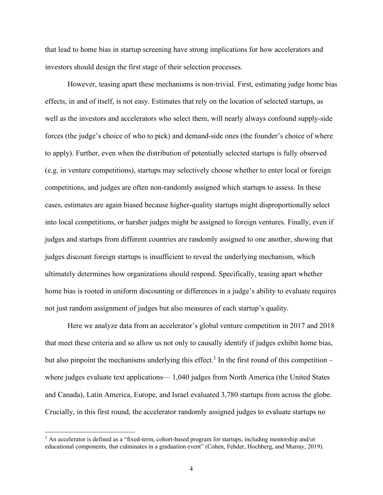that lead to home bias in startup screening have strong implications for how accelerators and investors should design the first stage of their selection processes.

However, teasing apart these mechanisms is non-trivial. First, estimating judge home bias effects, in and of itself, is not easy. Estimates that rely on the location of selected startups, as well as the investors and accelerators who select them, will nearly always confound supply-side forces (the judge's choice of who to pick) and demand-side ones (the founder's choice of where to apply). Further, even when the distribution of potentially selected startups is fully observed (e.g. in venture competitions), startups may selectively choose whether to enter local or foreign competitions, and judges are often non-randomly assigned which startups to assess. In these cases, estimates are again biased because higher-quality startups might disproportionally select into local competitions, or harsher judges might be assigned to foreign ventures. Finally, even if judges and startups from different countries are randomly assigned to one another, showing that judges discount foreign startups is insufficient to reveal the underlying mechanism, which ultimately determines how organizations should respond. Specifically, teasing apart whether home bias is rooted in uniform discounting or differences in a judge's ability to evaluate requires not just random assignment of judges but also measures of each startup's quality.

Here we analyze data from an accelerator's global venture competition in 2017 and 2018 that meet these criteria and so allow us not only to causally identify if judges exhibit home bias, but also pinpoint the mechanisms underlying this effect.<sup>3</sup> In the first round of this competition – where judges evaluate text applications— 1,040 judges from North America (the United States and Canada), Latin America, Europe, and Israel evaluated 3,780 startups from across the globe. Crucially, in this first round, the accelerator randomly assigned judges to evaluate startups no

<sup>&</sup>lt;sup>3</sup> An accelerator is defined as a "fixed-term, cohort-based program for startups, including mentorship and/or educational components, that culminates in a graduation event" (Cohen, Fehder, Hochberg, and Murray, 2019).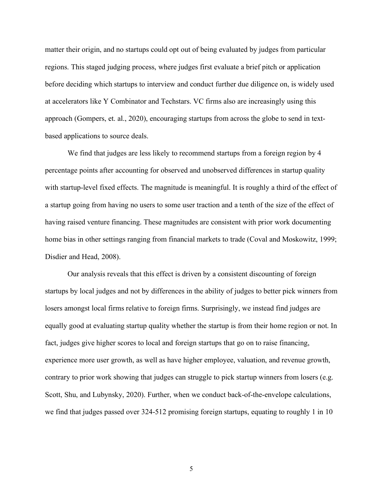matter their origin, and no startups could opt out of being evaluated by judges from particular regions. This staged judging process, where judges first evaluate a brief pitch or application before deciding which startups to interview and conduct further due diligence on, is widely used at accelerators like Y Combinator and Techstars. VC firms also are increasingly using this approach (Gompers, et. al., 2020), encouraging startups from across the globe to send in textbased applications to source deals.

We find that judges are less likely to recommend startups from a foreign region by 4 percentage points after accounting for observed and unobserved differences in startup quality with startup-level fixed effects. The magnitude is meaningful. It is roughly a third of the effect of a startup going from having no users to some user traction and a tenth of the size of the effect of having raised venture financing. These magnitudes are consistent with prior work documenting home bias in other settings ranging from financial markets to trade (Coval and Moskowitz, 1999; Disdier and Head, 2008).

Our analysis reveals that this effect is driven by a consistent discounting of foreign startups by local judges and not by differences in the ability of judges to better pick winners from losers amongst local firms relative to foreign firms. Surprisingly, we instead find judges are equally good at evaluating startup quality whether the startup is from their home region or not. In fact, judges give higher scores to local and foreign startups that go on to raise financing, experience more user growth, as well as have higher employee, valuation, and revenue growth, contrary to prior work showing that judges can struggle to pick startup winners from losers (e.g. Scott, Shu, and Lubynsky, 2020). Further, when we conduct back-of-the-envelope calculations, we find that judges passed over 324-512 promising foreign startups, equating to roughly 1 in 10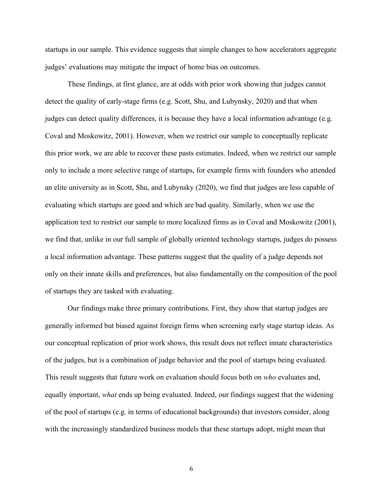startups in our sample. This evidence suggests that simple changes to how accelerators aggregate judges' evaluations may mitigate the impact of home bias on outcomes.

These findings, at first glance, are at odds with prior work showing that judges cannot detect the quality of early-stage firms (e.g. Scott, Shu, and Lubynsky, 2020) and that when judges can detect quality differences, it is because they have a local information advantage (e.g. Coval and Moskowitz, 2001). However, when we restrict our sample to conceptually replicate this prior work, we are able to recover these pasts estimates. Indeed, when we restrict our sample only to include a more selective range of startups, for example firms with founders who attended an elite university as in Scott, Shu, and Lubynsky (2020), we find that judges are less capable of evaluating which startups are good and which are bad quality. Similarly, when we use the application text to restrict our sample to more localized firms as in Coval and Moskowitz (2001), we find that, unlike in our full sample of globally oriented technology startups, judges do possess a local information advantage. These patterns suggest that the quality of a judge depends not only on their innate skills and preferences, but also fundamentally on the composition of the pool of startups they are tasked with evaluating.

Our findings make three primary contributions. First, they show that startup judges are generally informed but biased against foreign firms when screening early stage startup ideas. As our conceptual replication of prior work shows, this result does not reflect innate characteristics of the judges, but is a combination of judge behavior and the pool of startups being evaluated. This result suggests that future work on evaluation should focus both on *who* evaluates and, equally important, *what* ends up being evaluated. Indeed, our findings suggest that the widening of the pool of startups (e.g. in terms of educational backgrounds) that investors consider, along with the increasingly standardized business models that these startups adopt, might mean that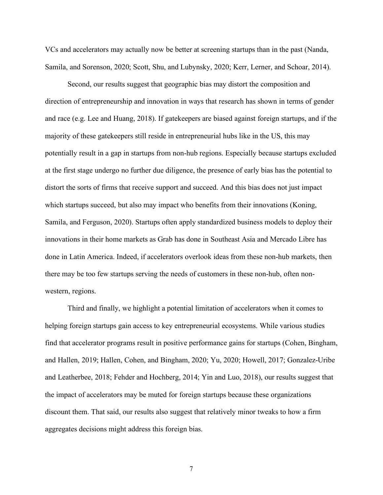VCs and accelerators may actually now be better at screening startups than in the past (Nanda, Samila, and Sorenson, 2020; Scott, Shu, and Lubynsky, 2020; Kerr, Lerner, and Schoar, 2014).

Second, our results suggest that geographic bias may distort the composition and direction of entrepreneurship and innovation in ways that research has shown in terms of gender and race (e.g. Lee and Huang, 2018). If gatekeepers are biased against foreign startups, and if the majority of these gatekeepers still reside in entrepreneurial hubs like in the US, this may potentially result in a gap in startups from non-hub regions. Especially because startups excluded at the first stage undergo no further due diligence, the presence of early bias has the potential to distort the sorts of firms that receive support and succeed. And this bias does not just impact which startups succeed, but also may impact who benefits from their innovations (Koning, Samila, and Ferguson, 2020). Startups often apply standardized business models to deploy their innovations in their home markets as Grab has done in Southeast Asia and Mercado Libre has done in Latin America. Indeed, if accelerators overlook ideas from these non-hub markets, then there may be too few startups serving the needs of customers in these non-hub, often nonwestern, regions.

Third and finally, we highlight a potential limitation of accelerators when it comes to helping foreign startups gain access to key entrepreneurial ecosystems. While various studies find that accelerator programs result in positive performance gains for startups (Cohen, Bingham, and Hallen, 2019; Hallen, Cohen, and Bingham, 2020; Yu, 2020; Howell, 2017; Gonzalez-Uribe and Leatherbee, 2018; Fehder and Hochberg, 2014; Yin and Luo, 2018), our results suggest that the impact of accelerators may be muted for foreign startups because these organizations discount them. That said, our results also suggest that relatively minor tweaks to how a firm aggregates decisions might address this foreign bias.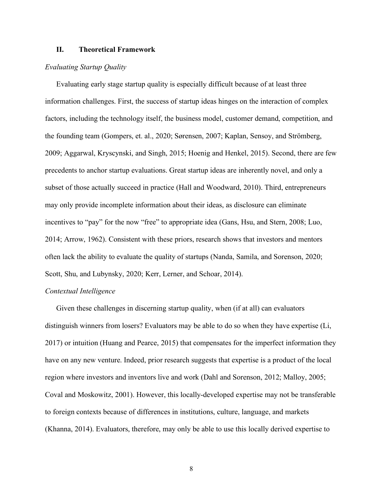# **II. Theoretical Framework**

#### *Evaluating Startup Quality*

Evaluating early stage startup quality is especially difficult because of at least three information challenges. First, the success of startup ideas hinges on the interaction of complex factors, including the technology itself, the business model, customer demand, competition, and the founding team (Gompers, et. al., 2020; Sørensen, 2007; Kaplan, Sensoy, and Strömberg, 2009; Aggarwal, Kryscynski, and Singh, 2015; Hoenig and Henkel, 2015). Second, there are few precedents to anchor startup evaluations. Great startup ideas are inherently novel, and only a subset of those actually succeed in practice (Hall and Woodward, 2010). Third, entrepreneurs may only provide incomplete information about their ideas, as disclosure can eliminate incentives to "pay" for the now "free" to appropriate idea (Gans, Hsu, and Stern, 2008; Luo, 2014; Arrow, 1962). Consistent with these priors, research shows that investors and mentors often lack the ability to evaluate the quality of startups (Nanda, Samila, and Sorenson, 2020; Scott, Shu, and Lubynsky, 2020; Kerr, Lerner, and Schoar, 2014).

#### *Contextual Intelligence*

Given these challenges in discerning startup quality, when (if at all) can evaluators distinguish winners from losers? Evaluators may be able to do so when they have expertise (Li, 2017) or intuition (Huang and Pearce, 2015) that compensates for the imperfect information they have on any new venture. Indeed, prior research suggests that expertise is a product of the local region where investors and inventors live and work (Dahl and Sorenson, 2012; Malloy, 2005; Coval and Moskowitz, 2001). However, this locally-developed expertise may not be transferable to foreign contexts because of differences in institutions, culture, language, and markets (Khanna, 2014). Evaluators, therefore, may only be able to use this locally derived expertise to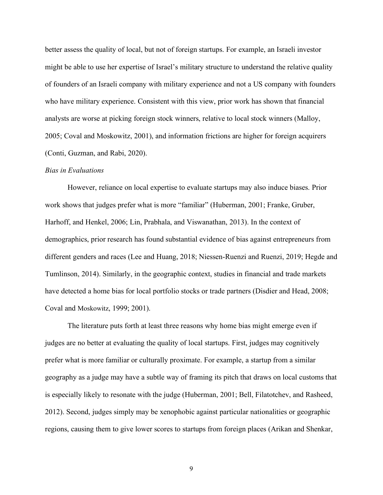better assess the quality of local, but not of foreign startups. For example, an Israeli investor might be able to use her expertise of Israel's military structure to understand the relative quality of founders of an Israeli company with military experience and not a US company with founders who have military experience. Consistent with this view, prior work has shown that financial analysts are worse at picking foreign stock winners, relative to local stock winners (Malloy, 2005; Coval and Moskowitz, 2001), and information frictions are higher for foreign acquirers (Conti, Guzman, and Rabi, 2020).

#### *Bias in Evaluations*

However, reliance on local expertise to evaluate startups may also induce biases. Prior work shows that judges prefer what is more "familiar" (Huberman, 2001; Franke, Gruber, Harhoff, and Henkel, 2006; Lin, Prabhala, and Viswanathan, 2013). In the context of demographics, prior research has found substantial evidence of bias against entrepreneurs from different genders and races (Lee and Huang, 2018; Niessen-Ruenzi and Ruenzi, 2019; Hegde and Tumlinson, 2014). Similarly, in the geographic context, studies in financial and trade markets have detected a home bias for local portfolio stocks or trade partners (Disdier and Head, 2008; Coval and Moskowitz, 1999; 2001).

The literature puts forth at least three reasons why home bias might emerge even if judges are no better at evaluating the quality of local startups. First, judges may cognitively prefer what is more familiar or culturally proximate. For example, a startup from a similar geography as a judge may have a subtle way of framing its pitch that draws on local customs that is especially likely to resonate with the judge (Huberman, 2001; Bell, Filatotchev, and Rasheed, 2012). Second, judges simply may be xenophobic against particular nationalities or geographic regions, causing them to give lower scores to startups from foreign places (Arikan and Shenkar,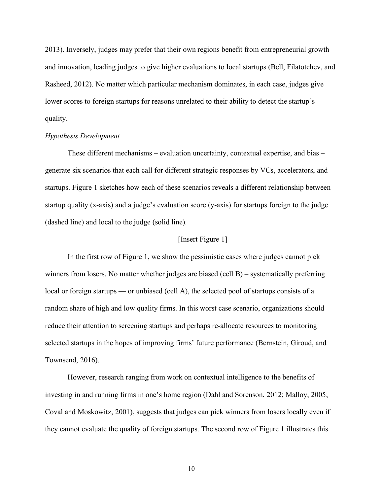2013). Inversely, judges may prefer that their own regions benefit from entrepreneurial growth and innovation, leading judges to give higher evaluations to local startups (Bell, Filatotchev, and Rasheed, 2012). No matter which particular mechanism dominates, in each case, judges give lower scores to foreign startups for reasons unrelated to their ability to detect the startup's quality.

#### *Hypothesis Development*

These different mechanisms – evaluation uncertainty, contextual expertise, and bias – generate six scenarios that each call for different strategic responses by VCs, accelerators, and startups. Figure 1 sketches how each of these scenarios reveals a different relationship between startup quality (x-axis) and a judge's evaluation score (y-axis) for startups foreign to the judge (dashed line) and local to the judge (solid line).

# [Insert Figure 1]

In the first row of Figure 1, we show the pessimistic cases where judges cannot pick winners from losers. No matter whether judges are biased (cell B) – systematically preferring local or foreign startups — or unbiased (cell A), the selected pool of startups consists of a random share of high and low quality firms. In this worst case scenario, organizations should reduce their attention to screening startups and perhaps re-allocate resources to monitoring selected startups in the hopes of improving firms' future performance (Bernstein, Giroud, and Townsend, 2016).

However, research ranging from work on contextual intelligence to the benefits of investing in and running firms in one's home region (Dahl and Sorenson, 2012; Malloy, 2005; Coval and Moskowitz, 2001), suggests that judges can pick winners from losers locally even if they cannot evaluate the quality of foreign startups. The second row of Figure 1 illustrates this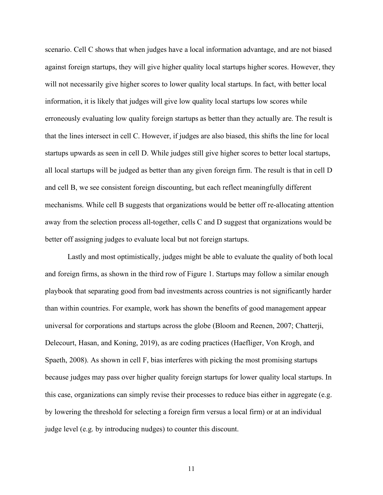scenario. Cell C shows that when judges have a local information advantage, and are not biased against foreign startups, they will give higher quality local startups higher scores. However, they will not necessarily give higher scores to lower quality local startups. In fact, with better local information, it is likely that judges will give low quality local startups low scores while erroneously evaluating low quality foreign startups as better than they actually are. The result is that the lines intersect in cell C. However, if judges are also biased, this shifts the line for local startups upwards as seen in cell D. While judges still give higher scores to better local startups, all local startups will be judged as better than any given foreign firm. The result is that in cell D and cell B, we see consistent foreign discounting, but each reflect meaningfully different mechanisms. While cell B suggests that organizations would be better off re-allocating attention away from the selection process all-together, cells C and D suggest that organizations would be better off assigning judges to evaluate local but not foreign startups.

Lastly and most optimistically, judges might be able to evaluate the quality of both local and foreign firms, as shown in the third row of Figure 1. Startups may follow a similar enough playbook that separating good from bad investments across countries is not significantly harder than within countries. For example, work has shown the benefits of good management appear universal for corporations and startups across the globe (Bloom and Reenen, 2007; Chatterji, Delecourt, Hasan, and Koning, 2019), as are coding practices (Haefliger, Von Krogh, and Spaeth, 2008). As shown in cell F, bias interferes with picking the most promising startups because judges may pass over higher quality foreign startups for lower quality local startups. In this case, organizations can simply revise their processes to reduce bias either in aggregate (e.g. by lowering the threshold for selecting a foreign firm versus a local firm) or at an individual judge level (e.g. by introducing nudges) to counter this discount.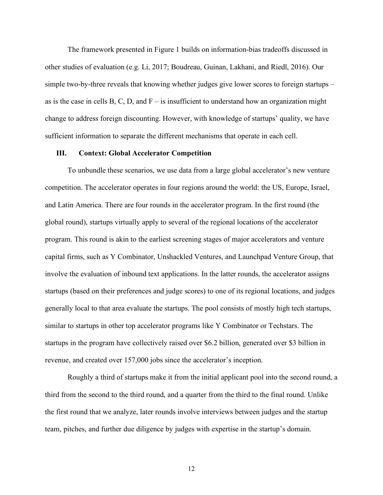The framework presented in Figure 1 builds on information-bias tradeoffs discussed in other studies of evaluation (e.g. Li, 2017; Boudreau, Guinan, Lakhani, and Riedl, 2016). Our simple two-by-three reveals that knowing whether judges give lower scores to foreign startups – as is the case in cells B, C, D, and  $F -$  is insufficient to understand how an organization might change to address foreign discounting. However, with knowledge of startups' quality, we have sufficient information to separate the different mechanisms that operate in each cell.

# **III. Context: Global Accelerator Competition**

To unbundle these scenarios, we use data from a large global accelerator's new venture competition. The accelerator operates in four regions around the world: the US, Europe, Israel, and Latin America. There are four rounds in the accelerator program. In the first round (the global round), startups virtually apply to several of the regional locations of the accelerator program. This round is akin to the earliest screening stages of major accelerators and venture capital firms, such as Y Combinator, Unshackled Ventures, and Launchpad Venture Group, that involve the evaluation of inbound text applications. In the latter rounds, the accelerator assigns startups (based on their preferences and judge scores) to one of its regional locations, and judges generally local to that area evaluate the startups. The pool consists of mostly high tech startups, similar to startups in other top accelerator programs like Y Combinator or Techstars. The startups in the program have collectively raised over \$6.2 billion, generated over \$3 billion in revenue, and created over 157,000 jobs since the accelerator's inception.

Roughly a third of startups make it from the initial applicant pool into the second round, a third from the second to the third round, and a quarter from the third to the final round. Unlike the first round that we analyze, later rounds involve interviews between judges and the startup team, pitches, and further due diligence by judges with expertise in the startup's domain.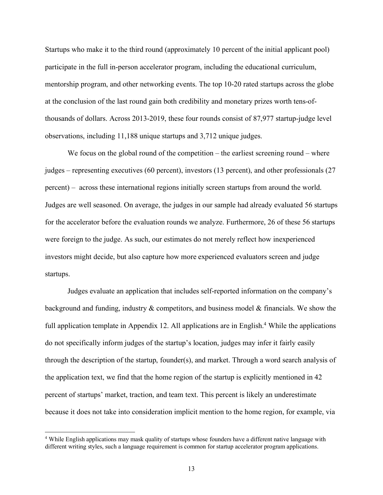Startups who make it to the third round (approximately 10 percent of the initial applicant pool) participate in the full in-person accelerator program, including the educational curriculum, mentorship program, and other networking events. The top 10-20 rated startups across the globe at the conclusion of the last round gain both credibility and monetary prizes worth tens-ofthousands of dollars. Across 2013-2019, these four rounds consist of 87,977 startup-judge level observations, including 11,188 unique startups and 3,712 unique judges.

We focus on the global round of the competition – the earliest screening round – where judges – representing executives (60 percent), investors (13 percent), and other professionals (27 percent) – across these international regions initially screen startups from around the world. Judges are well seasoned. On average, the judges in our sample had already evaluated 56 startups for the accelerator before the evaluation rounds we analyze. Furthermore, 26 of these 56 startups were foreign to the judge. As such, our estimates do not merely reflect how inexperienced investors might decide, but also capture how more experienced evaluators screen and judge startups.

Judges evaluate an application that includes self-reported information on the company's background and funding, industry & competitors, and business model & financials. We show the full application template in Appendix 12. All applications are in English.<sup>4</sup> While the applications do not specifically inform judges of the startup's location, judges may infer it fairly easily through the description of the startup, founder(s), and market. Through a word search analysis of the application text, we find that the home region of the startup is explicitly mentioned in 42 percent of startups' market, traction, and team text. This percent is likely an underestimate because it does not take into consideration implicit mention to the home region, for example, via

<sup>&</sup>lt;sup>4</sup> While English applications may mask quality of startups whose founders have a different native language with different writing styles, such a language requirement is common for startup accelerator program applications.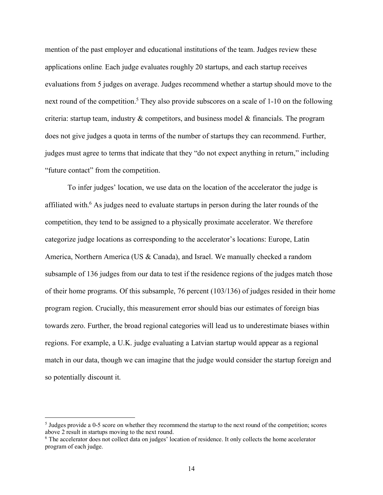mention of the past employer and educational institutions of the team. Judges review these applications online. Each judge evaluates roughly 20 startups, and each startup receives evaluations from 5 judges on average. Judges recommend whether a startup should move to the next round of the competition.<sup>5</sup> They also provide subscores on a scale of 1-10 on the following criteria: startup team, industry  $\&$  competitors, and business model  $\&$  financials. The program does not give judges a quota in terms of the number of startups they can recommend. Further, judges must agree to terms that indicate that they "do not expect anything in return," including "future contact" from the competition.

To infer judges' location, we use data on the location of the accelerator the judge is affiliated with.<sup>6</sup> As judges need to evaluate startups in person during the later rounds of the competition, they tend to be assigned to a physically proximate accelerator. We therefore categorize judge locations as corresponding to the accelerator's locations: Europe, Latin America, Northern America (US & Canada), and Israel. We manually checked a random subsample of 136 judges from our data to test if the residence regions of the judges match those of their home programs. Of this subsample, 76 percent (103/136) of judges resided in their home program region. Crucially, this measurement error should bias our estimates of foreign bias towards zero. Further, the broad regional categories will lead us to underestimate biases within regions. For example, a U.K. judge evaluating a Latvian startup would appear as a regional match in our data, though we can imagine that the judge would consider the startup foreign and so potentially discount it.

 <sup>5</sup> Judges provide a 0-5 score on whether they recommend the startup to the next round of the competition; scores above 2 result in startups moving to the next round.

<sup>6</sup> The accelerator does not collect data on judges' location of residence. It only collects the home accelerator program of each judge.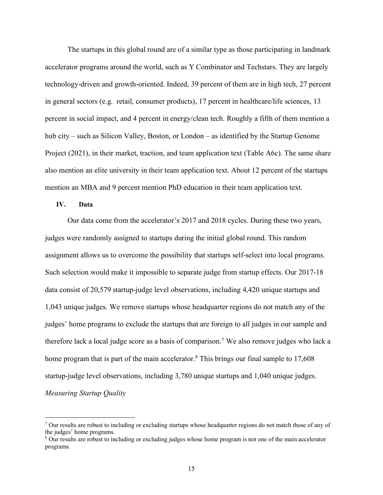The startups in this global round are of a similar type as those participating in landmark accelerator programs around the world, such as Y Combinator and Techstars. They are largely technology-driven and growth-oriented. Indeed, 39 percent of them are in high tech, 27 percent in general sectors (e.g. retail, consumer products), 17 percent in healthcare/life sciences, 13 percent in social impact, and 4 percent in energy/clean tech. Roughly a fifth of them mention a hub city – such as Silicon Valley, Boston, or London – as identified by the Startup Genome Project (2021), in their market, traction, and team application text (Table A6c). The same share also mention an elite university in their team application text. About 12 percent of the startups mention an MBA and 9 percent mention PhD education in their team application text.

# **IV. Data**

Our data come from the accelerator's 2017 and 2018 cycles. During these two years, judges were randomly assigned to startups during the initial global round. This random assignment allows us to overcome the possibility that startups self-select into local programs. Such selection would make it impossible to separate judge from startup effects. Our 2017-18 data consist of 20,579 startup-judge level observations, including 4,420 unique startups and 1,043 unique judges. We remove startups whose headquarter regions do not match any of the judges' home programs to exclude the startups that are foreign to all judges in our sample and therefore lack a local judge score as a basis of comparison.<sup>7</sup> We also remove judges who lack a home program that is part of the main accelerator.<sup>8</sup> This brings our final sample to 17,608 startup-judge level observations, including 3,780 unique startups and 1,040 unique judges. *Measuring Startup Quality*

 $^7$  Our results are robust to including or excluding startups whose headquarter regions do not match those of any of the judges' home programs.

<sup>8</sup> Our results are robust to including or excluding judges whose home program is not one of the main accelerator programs.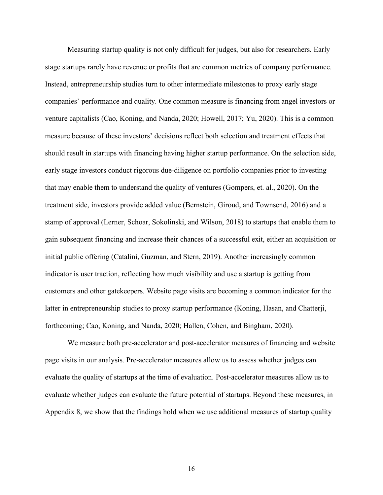Measuring startup quality is not only difficult for judges, but also for researchers. Early stage startups rarely have revenue or profits that are common metrics of company performance. Instead, entrepreneurship studies turn to other intermediate milestones to proxy early stage companies' performance and quality. One common measure is financing from angel investors or venture capitalists (Cao, Koning, and Nanda, 2020; Howell, 2017; Yu, 2020). This is a common measure because of these investors' decisions reflect both selection and treatment effects that should result in startups with financing having higher startup performance. On the selection side, early stage investors conduct rigorous due-diligence on portfolio companies prior to investing that may enable them to understand the quality of ventures (Gompers, et. al., 2020). On the treatment side, investors provide added value (Bernstein, Giroud, and Townsend, 2016) and a stamp of approval (Lerner, Schoar, Sokolinski, and Wilson, 2018) to startups that enable them to gain subsequent financing and increase their chances of a successful exit, either an acquisition or initial public offering (Catalini, Guzman, and Stern, 2019). Another increasingly common indicator is user traction, reflecting how much visibility and use a startup is getting from customers and other gatekeepers. Website page visits are becoming a common indicator for the latter in entrepreneurship studies to proxy startup performance (Koning, Hasan, and Chatterji, forthcoming; Cao, Koning, and Nanda, 2020; Hallen, Cohen, and Bingham, 2020).

We measure both pre-accelerator and post-accelerator measures of financing and website page visits in our analysis. Pre-accelerator measures allow us to assess whether judges can evaluate the quality of startups at the time of evaluation. Post-accelerator measures allow us to evaluate whether judges can evaluate the future potential of startups. Beyond these measures, in Appendix 8, we show that the findings hold when we use additional measures of startup quality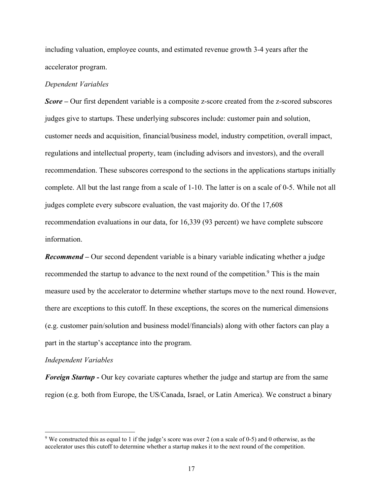including valuation, employee counts, and estimated revenue growth 3-4 years after the accelerator program.

#### *Dependent Variables*

*Score –* Our first dependent variable is a composite z-score created from the z-scored subscores judges give to startups. These underlying subscores include: customer pain and solution, customer needs and acquisition, financial/business model, industry competition, overall impact, regulations and intellectual property, team (including advisors and investors), and the overall recommendation. These subscores correspond to the sections in the applications startups initially complete. All but the last range from a scale of 1-10. The latter is on a scale of 0-5. While not all judges complete every subscore evaluation, the vast majority do. Of the 17,608 recommendation evaluations in our data, for 16,339 (93 percent) we have complete subscore information.

*Recommend –* Our second dependent variable is a binary variable indicating whether a judge recommended the startup to advance to the next round of the competition.<sup>9</sup> This is the main measure used by the accelerator to determine whether startups move to the next round. However, there are exceptions to this cutoff. In these exceptions, the scores on the numerical dimensions (e.g. customer pain/solution and business model/financials) along with other factors can play a part in the startup's acceptance into the program.

#### *Independent Variables*

*Foreign Startup -* Our key covariate captures whether the judge and startup are from the same region (e.g. both from Europe, the US/Canada, Israel, or Latin America). We construct a binary

<sup>&</sup>lt;sup>9</sup> We constructed this as equal to 1 if the judge's score was over 2 (on a scale of 0-5) and 0 otherwise, as the accelerator uses this cutoff to determine whether a startup makes it to the next round of the competition.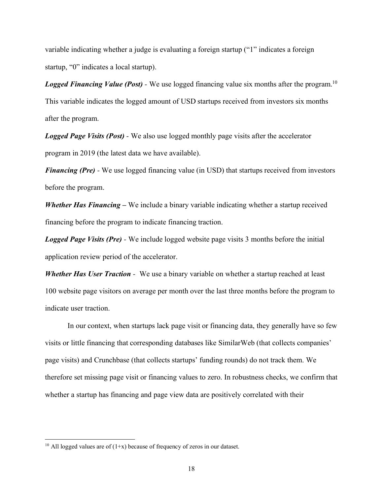variable indicating whether a judge is evaluating a foreign startup ("1" indicates a foreign startup, "0" indicates a local startup).

*Logged Financing Value (Post)* - We use logged financing value six months after the program.<sup>10</sup> This variable indicates the logged amount of USD startups received from investors six months after the program.

*Logged Page Visits (Post) -* We also use logged monthly page visits after the accelerator program in 2019 (the latest data we have available).

*Financing (Pre)* - We use logged financing value (in USD) that startups received from investors before the program.

*Whether Has Financing –* We include a binary variable indicating whether a startup received financing before the program to indicate financing traction.

*Logged Page Visits (Pre) -* We include logged website page visits 3 months before the initial application review period of the accelerator.

*Whether Has User Traction* - We use a binary variable on whether a startup reached at least 100 website page visitors on average per month over the last three months before the program to indicate user traction.

In our context, when startups lack page visit or financing data, they generally have so few visits or little financing that corresponding databases like SimilarWeb (that collects companies' page visits) and Crunchbase (that collects startups' funding rounds) do not track them. We therefore set missing page visit or financing values to zero. In robustness checks, we confirm that whether a startup has financing and page view data are positively correlated with their

<sup>&</sup>lt;sup>10</sup> All logged values are of  $(1+x)$  because of frequency of zeros in our dataset.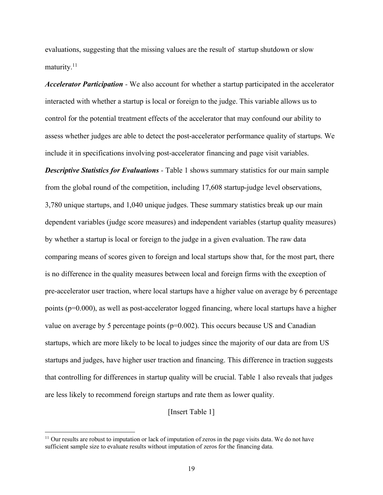evaluations, suggesting that the missing values are the result of startup shutdown or slow maturity.<sup>11</sup>

*Accelerator Participation -* We also account for whether a startup participated in the accelerator interacted with whether a startup is local or foreign to the judge. This variable allows us to control for the potential treatment effects of the accelerator that may confound our ability to assess whether judges are able to detect the post-accelerator performance quality of startups. We include it in specifications involving post-accelerator financing and page visit variables.

*Descriptive Statistics for Evaluations* - Table 1 shows summary statistics for our main sample from the global round of the competition, including 17,608 startup-judge level observations, 3,780 unique startups, and 1,040 unique judges. These summary statistics break up our main dependent variables (judge score measures) and independent variables (startup quality measures) by whether a startup is local or foreign to the judge in a given evaluation. The raw data comparing means of scores given to foreign and local startups show that, for the most part, there is no difference in the quality measures between local and foreign firms with the exception of pre-accelerator user traction, where local startups have a higher value on average by 6 percentage points (p=0.000), as well as post-accelerator logged financing, where local startups have a higher value on average by 5 percentage points ( $p=0.002$ ). This occurs because US and Canadian startups, which are more likely to be local to judges since the majority of our data are from US startups and judges, have higher user traction and financing. This difference in traction suggests that controlling for differences in startup quality will be crucial. Table 1 also reveals that judges are less likely to recommend foreign startups and rate them as lower quality.

[Insert Table 1]

<sup>&</sup>lt;sup>11</sup> Our results are robust to imputation or lack of imputation of zeros in the page visits data. We do not have sufficient sample size to evaluate results without imputation of zeros for the financing data.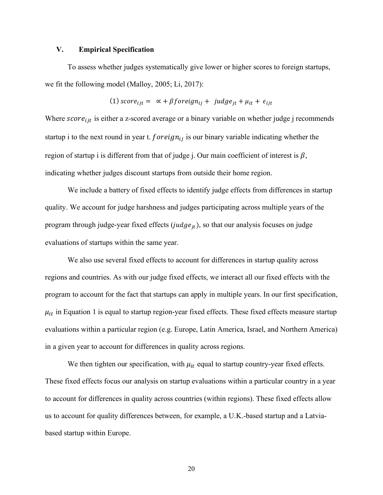# **V. Empirical Specification**

To assess whether judges systematically give lower or higher scores to foreign startups, we fit the following model (Malloy, 2005; Li, 2017):

(1) score<sub>ijt</sub> = 
$$
\alpha + \beta
$$
 foreign<sub>ij</sub> + judge<sub>jt</sub> +  $\mu_{it}$  +  $\epsilon_{ijt}$ 

Where  $score_{ijt}$  is either a z-scored average or a binary variable on whether judge j recommends startup i to the next round in year t.  $foreign_{ii}$  is our binary variable indicating whether the region of startup i is different from that of judge j. Our main coefficient of interest is  $\beta$ , indicating whether judges discount startups from outside their home region.

We include a battery of fixed effects to identify judge effects from differences in startup quality. We account for judge harshness and judges participating across multiple years of the program through judge-year fixed effects ( $judge_{it}$ ), so that our analysis focuses on judge evaluations of startups within the same year.

We also use several fixed effects to account for differences in startup quality across regions and countries. As with our judge fixed effects, we interact all our fixed effects with the program to account for the fact that startups can apply in multiple years. In our first specification,  $\mu_{it}$  in Equation 1 is equal to startup region-year fixed effects. These fixed effects measure startup evaluations within a particular region (e.g. Europe, Latin America, Israel, and Northern America) in a given year to account for differences in quality across regions.

We then tighten our specification, with  $\mu_{it}$  equal to startup country-year fixed effects. These fixed effects focus our analysis on startup evaluations within a particular country in a year to account for differences in quality across countries (within regions). These fixed effects allow us to account for quality differences between, for example, a U.K.-based startup and a Latviabased startup within Europe.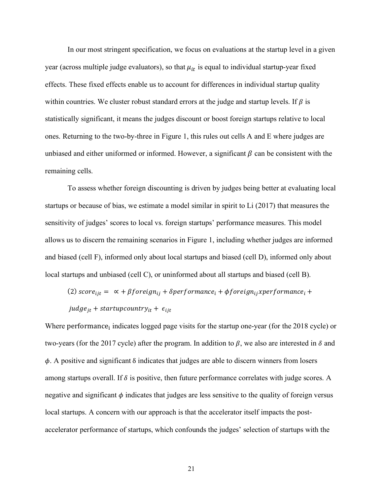In our most stringent specification, we focus on evaluations at the startup level in a given year (across multiple judge evaluators), so that  $\mu_{it}$  is equal to individual startup-year fixed effects. These fixed effects enable us to account for differences in individual startup quality within countries. We cluster robust standard errors at the judge and startup levels. If  $\beta$  is statistically significant, it means the judges discount or boost foreign startups relative to local ones. Returning to the two-by-three in Figure 1, this rules out cells A and E where judges are unbiased and either uniformed or informed. However, a significant  $\beta$  can be consistent with the remaining cells.

To assess whether foreign discounting is driven by judges being better at evaluating local startups or because of bias, we estimate a model similar in spirit to Li (2017) that measures the sensitivity of judges' scores to local vs. foreign startups' performance measures. This model allows us to discern the remaining scenarios in Figure 1, including whether judges are informed and biased (cell F), informed only about local startups and biased (cell D), informed only about local startups and unbiased (cell C), or uninformed about all startups and biased (cell B).

(2)  $score_{ijt} = \alpha + \beta foreign_{ij} + \delta performance_i + \phi foreign_{ij} x performance_i +$ 

 $judge_{jt}$  + startupcountry<sub>it</sub> +  $\epsilon_{ijt}$ 

Where performance, indicates logged page visits for the startup one-year (for the 2018 cycle) or two-years (for the 2017 cycle) after the program. In addition to  $\beta$ , we also are interested in  $\delta$  and  $\phi$ . A positive and significant  $\delta$  indicates that judges are able to discern winners from losers among startups overall. If  $\delta$  is positive, then future performance correlates with judge scores. A negative and significant  $\phi$  indicates that judges are less sensitive to the quality of foreign versus local startups. A concern with our approach is that the accelerator itself impacts the postaccelerator performance of startups, which confounds the judges' selection of startups with the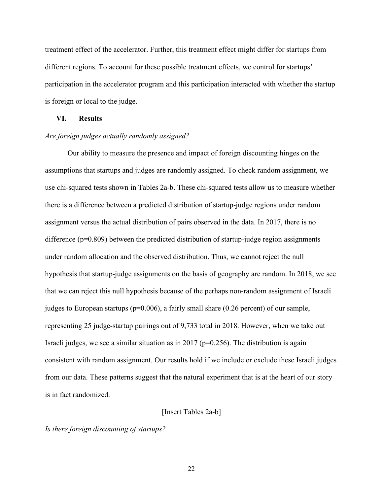treatment effect of the accelerator. Further, this treatment effect might differ for startups from different regions. To account for these possible treatment effects, we control for startups' participation in the accelerator program and this participation interacted with whether the startup is foreign or local to the judge.

#### **VI. Results**

#### *Are foreign judges actually randomly assigned?*

Our ability to measure the presence and impact of foreign discounting hinges on the assumptions that startups and judges are randomly assigned. To check random assignment, we use chi-squared tests shown in Tables 2a-b. These chi-squared tests allow us to measure whether there is a difference between a predicted distribution of startup-judge regions under random assignment versus the actual distribution of pairs observed in the data. In 2017, there is no difference ( $p=0.809$ ) between the predicted distribution of startup-judge region assignments under random allocation and the observed distribution. Thus, we cannot reject the null hypothesis that startup-judge assignments on the basis of geography are random. In 2018, we see that we can reject this null hypothesis because of the perhaps non-random assignment of Israeli judges to European startups (p=0.006), a fairly small share (0.26 percent) of our sample, representing 25 judge-startup pairings out of 9,733 total in 2018. However, when we take out Israeli judges, we see a similar situation as in 2017 ( $p=0.256$ ). The distribution is again consistent with random assignment. Our results hold if we include or exclude these Israeli judges from our data. These patterns suggest that the natural experiment that is at the heart of our story is in fact randomized.

# [Insert Tables 2a-b]

#### *Is there foreign discounting of startups?*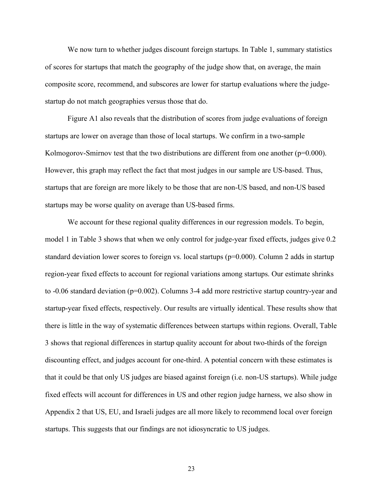We now turn to whether judges discount foreign startups. In Table 1, summary statistics of scores for startups that match the geography of the judge show that, on average, the main composite score, recommend, and subscores are lower for startup evaluations where the judgestartup do not match geographies versus those that do.

Figure A1 also reveals that the distribution of scores from judge evaluations of foreign startups are lower on average than those of local startups. We confirm in a two-sample Kolmogorov-Smirnov test that the two distributions are different from one another ( $p=0.000$ ). However, this graph may reflect the fact that most judges in our sample are US-based. Thus, startups that are foreign are more likely to be those that are non-US based, and non-US based startups may be worse quality on average than US-based firms.

We account for these regional quality differences in our regression models. To begin, model 1 in Table 3 shows that when we only control for judge-year fixed effects, judges give 0.2 standard deviation lower scores to foreign vs. local startups (p=0.000). Column 2 adds in startup region-year fixed effects to account for regional variations among startups. Our estimate shrinks to -0.06 standard deviation (p=0.002). Columns 3-4 add more restrictive startup country-year and startup-year fixed effects, respectively. Our results are virtually identical. These results show that there is little in the way of systematic differences between startups within regions. Overall, Table 3 shows that regional differences in startup quality account for about two-thirds of the foreign discounting effect, and judges account for one-third. A potential concern with these estimates is that it could be that only US judges are biased against foreign (i.e. non-US startups). While judge fixed effects will account for differences in US and other region judge harness, we also show in Appendix 2 that US, EU, and Israeli judges are all more likely to recommend local over foreign startups. This suggests that our findings are not idiosyncratic to US judges.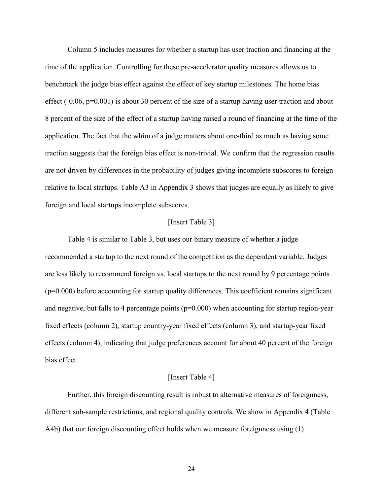Column 5 includes measures for whether a startup has user traction and financing at the time of the application. Controlling for these pre-accelerator quality measures allows us to benchmark the judge bias effect against the effect of key startup milestones. The home bias effect (-0.06, p=0.001) is about 30 percent of the size of a startup having user traction and about 8 percent of the size of the effect of a startup having raised a round of financing at the time of the application. The fact that the whim of a judge matters about one-third as much as having some traction suggests that the foreign bias effect is non-trivial. We confirm that the regression results are not driven by differences in the probability of judges giving incomplete subscores to foreign relative to local startups. Table A3 in Appendix 3 shows that judges are equally as likely to give foreign and local startups incomplete subscores.

#### [Insert Table 3]

Table 4 is similar to Table 3, but uses our binary measure of whether a judge recommended a startup to the next round of the competition as the dependent variable. Judges are less likely to recommend foreign vs. local startups to the next round by 9 percentage points (p=0.000) before accounting for startup quality differences. This coefficient remains significant and negative, but falls to 4 percentage points ( $p=0.000$ ) when accounting for startup region-year fixed effects (column 2), startup country-year fixed effects (column 3), and startup-year fixed effects (column 4), indicating that judge preferences account for about 40 percent of the foreign bias effect.

#### [Insert Table 4]

Further, this foreign discounting result is robust to alternative measures of foreignness, different sub-sample restrictions, and regional quality controls. We show in Appendix 4 (Table A4b) that our foreign discounting effect holds when we measure foreignness using (1)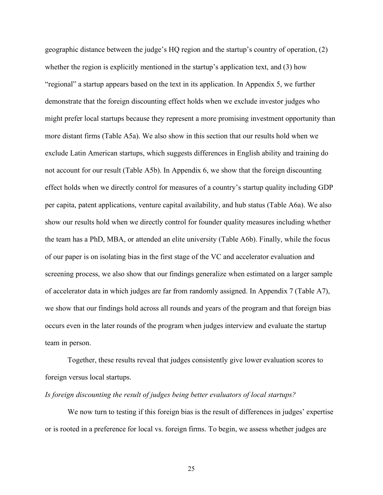geographic distance between the judge's HQ region and the startup's country of operation, (2) whether the region is explicitly mentioned in the startup's application text, and (3) how "regional" a startup appears based on the text in its application. In Appendix 5, we further demonstrate that the foreign discounting effect holds when we exclude investor judges who might prefer local startups because they represent a more promising investment opportunity than more distant firms (Table A5a). We also show in this section that our results hold when we exclude Latin American startups, which suggests differences in English ability and training do not account for our result (Table A5b). In Appendix 6, we show that the foreign discounting effect holds when we directly control for measures of a country's startup quality including GDP per capita, patent applications, venture capital availability, and hub status (Table A6a). We also show our results hold when we directly control for founder quality measures including whether the team has a PhD, MBA, or attended an elite university (Table A6b). Finally, while the focus of our paper is on isolating bias in the first stage of the VC and accelerator evaluation and screening process, we also show that our findings generalize when estimated on a larger sample of accelerator data in which judges are far from randomly assigned. In Appendix 7 (Table A7), we show that our findings hold across all rounds and years of the program and that foreign bias occurs even in the later rounds of the program when judges interview and evaluate the startup team in person.

Together, these results reveal that judges consistently give lower evaluation scores to foreign versus local startups.

#### *Is foreign discounting the result of judges being better evaluators of local startups?*

We now turn to testing if this foreign bias is the result of differences in judges' expertise or is rooted in a preference for local vs. foreign firms. To begin, we assess whether judges are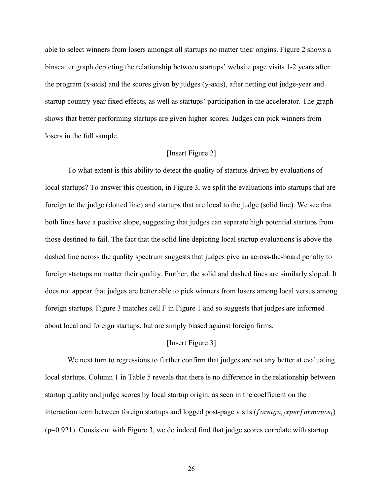able to select winners from losers amongst all startups no matter their origins. Figure 2 shows a binscatter graph depicting the relationship between startups' website page visits 1-2 years after the program (x-axis) and the scores given by judges (y-axis), after netting out judge-year and startup country-year fixed effects, as well as startups' participation in the accelerator. The graph shows that better performing startups are given higher scores. Judges can pick winners from losers in the full sample.

## [Insert Figure 2]

To what extent is this ability to detect the quality of startups driven by evaluations of local startups? To answer this question, in Figure 3, we split the evaluations into startups that are foreign to the judge (dotted line) and startups that are local to the judge (solid line). We see that both lines have a positive slope, suggesting that judges can separate high potential startups from those destined to fail. The fact that the solid line depicting local startup evaluations is above the dashed line across the quality spectrum suggests that judges give an across-the-board penalty to foreign startups no matter their quality. Further, the solid and dashed lines are similarly sloped. It does not appear that judges are better able to pick winners from losers among local versus among foreign startups. Figure 3 matches cell F in Figure 1 and so suggests that judges are informed about local and foreign startups, but are simply biased against foreign firms.

## [Insert Figure 3]

We next turn to regressions to further confirm that judges are not any better at evaluating local startups. Column 1 in Table 5 reveals that there is no difference in the relationship between startup quality and judge scores by local startup origin, as seen in the coefficient on the interaction term between foreign startups and logged post-page visits ( $foreign_{ij}xperformance_i$ ) (p=0.921). Consistent with Figure 3, we do indeed find that judge scores correlate with startup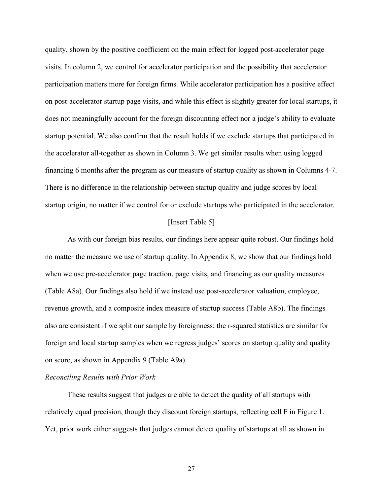quality, shown by the positive coefficient on the main effect for logged post-accelerator page visits. In column 2, we control for accelerator participation and the possibility that accelerator participation matters more for foreign firms. While accelerator participation has a positive effect on post-accelerator startup page visits, and while this effect is slightly greater for local startups, it does not meaningfully account for the foreign discounting effect nor a judge's ability to evaluate startup potential. We also confirm that the result holds if we exclude startups that participated in the accelerator all-together as shown in Column 3. We get similar results when using logged financing 6 months after the program as our measure of startup quality as shown in Columns 4-7. There is no difference in the relationship between startup quality and judge scores by local startup origin, no matter if we control for or exclude startups who participated in the accelerator.

#### [Insert Table 5]

As with our foreign bias results, our findings here appear quite robust. Our findings hold no matter the measure we use of startup quality. In Appendix 8, we show that our findings hold when we use pre-accelerator page traction, page visits, and financing as our quality measures (Table A8a). Our findings also hold if we instead use post-accelerator valuation, employee, revenue growth, and a composite index measure of startup success (Table A8b). The findings also are consistent if we split our sample by foreignness: the r-squared statistics are similar for foreign and local startup samples when we regress judges' scores on startup quality and quality on score, as shown in Appendix 9 (Table A9a).

# *Reconciling Results with Prior Work*

These results suggest that judges are able to detect the quality of all startups with relatively equal precision, though they discount foreign startups, reflecting cell F in Figure 1. Yet, prior work either suggests that judges cannot detect quality of startups at all as shown in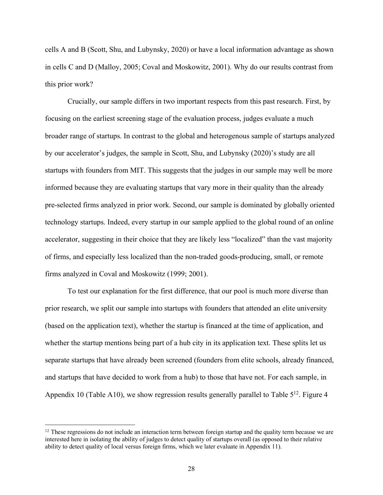cells A and B (Scott, Shu, and Lubynsky, 2020) or have a local information advantage as shown in cells C and D (Malloy, 2005; Coval and Moskowitz, 2001). Why do our results contrast from this prior work?

Crucially, our sample differs in two important respects from this past research. First, by focusing on the earliest screening stage of the evaluation process, judges evaluate a much broader range of startups. In contrast to the global and heterogenous sample of startups analyzed by our accelerator's judges, the sample in Scott, Shu, and Lubynsky (2020)'s study are all startups with founders from MIT. This suggests that the judges in our sample may well be more informed because they are evaluating startups that vary more in their quality than the already pre-selected firms analyzed in prior work. Second, our sample is dominated by globally oriented technology startups. Indeed, every startup in our sample applied to the global round of an online accelerator, suggesting in their choice that they are likely less "localized" than the vast majority of firms, and especially less localized than the non-traded goods-producing, small, or remote firms analyzed in Coval and Moskowitz (1999; 2001).

To test our explanation for the first difference, that our pool is much more diverse than prior research, we split our sample into startups with founders that attended an elite university (based on the application text), whether the startup is financed at the time of application, and whether the startup mentions being part of a hub city in its application text. These splits let us separate startups that have already been screened (founders from elite schools, already financed, and startups that have decided to work from a hub) to those that have not. For each sample, in Appendix 10 (Table A10), we show regression results generally parallel to Table  $5^{12}$ . Figure 4

 $12$  These regressions do not include an interaction term between foreign startup and the quality term because we are interested here in isolating the ability of judges to detect quality of startups overall (as opposed to their relative ability to detect quality of local versus foreign firms, which we later evaluate in Appendix 11).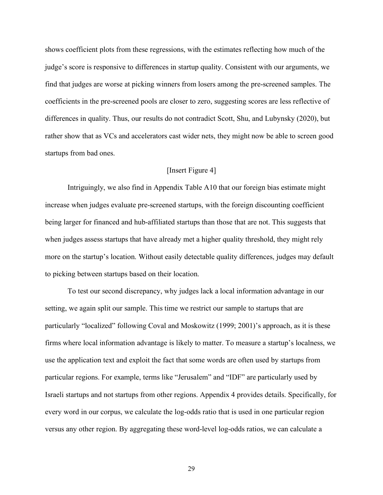shows coefficient plots from these regressions, with the estimates reflecting how much of the judge's score is responsive to differences in startup quality. Consistent with our arguments, we find that judges are worse at picking winners from losers among the pre-screened samples. The coefficients in the pre-screened pools are closer to zero, suggesting scores are less reflective of differences in quality. Thus, our results do not contradict Scott, Shu, and Lubynsky (2020), but rather show that as VCs and accelerators cast wider nets, they might now be able to screen good startups from bad ones.

#### [Insert Figure 4]

Intriguingly, we also find in Appendix Table A10 that our foreign bias estimate might increase when judges evaluate pre-screened startups, with the foreign discounting coefficient being larger for financed and hub-affiliated startups than those that are not. This suggests that when judges assess startups that have already met a higher quality threshold, they might rely more on the startup's location. Without easily detectable quality differences, judges may default to picking between startups based on their location.

To test our second discrepancy, why judges lack a local information advantage in our setting, we again split our sample. This time we restrict our sample to startups that are particularly "localized" following Coval and Moskowitz (1999; 2001)'s approach, as it is these firms where local information advantage is likely to matter. To measure a startup's localness, we use the application text and exploit the fact that some words are often used by startups from particular regions. For example, terms like "Jerusalem" and "IDF" are particularly used by Israeli startups and not startups from other regions. Appendix 4 provides details. Specifically, for every word in our corpus, we calculate the log-odds ratio that is used in one particular region versus any other region. By aggregating these word-level log-odds ratios, we can calculate a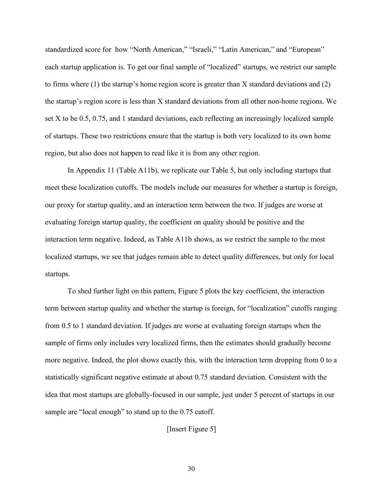standardized score for how "North American," "Israeli," "Latin American," and "European" each startup application is. To get our final sample of "localized" startups, we restrict our sample to firms where (1) the startup's home region score is greater than X standard deviations and (2) the startup's region score is less than X standard deviations from all other non-home regions. We set X to be 0.5, 0.75, and 1 standard deviations, each reflecting an increasingly localized sample of startups. These two restrictions ensure that the startup is both very localized to its own home region, but also does not happen to read like it is from any other region.

In Appendix 11 (Table A11b), we replicate our Table 5, but only including startups that meet these localization cutoffs. The models include our measures for whether a startup is foreign, our proxy for startup quality, and an interaction term between the two. If judges are worse at evaluating foreign startup quality, the coefficient on quality should be positive and the interaction term negative. Indeed, as Table A11b shows, as we restrict the sample to the most localized startups, we see that judges remain able to detect quality differences, but only for local startups.

To shed further light on this pattern, Figure 5 plots the key coefficient, the interaction term between startup quality and whether the startup is foreign, for "localization" cutoffs ranging from 0.5 to 1 standard deviation. If judges are worse at evaluating foreign startups when the sample of firms only includes very localized firms, then the estimates should gradually become more negative. Indeed, the plot shows exactly this, with the interaction term dropping from 0 to a statistically significant negative estimate at about 0.75 standard deviation. Consistent with the idea that most startups are globally-focused in our sample, just under 5 percent of startups in our sample are "local enough" to stand up to the 0.75 cutoff.

[Insert Figure 5]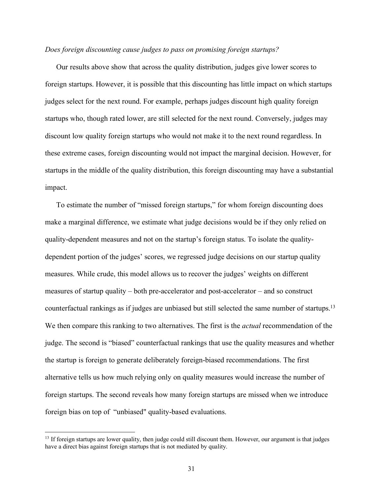#### *Does foreign discounting cause judges to pass on promising foreign startups?*

Our results above show that across the quality distribution, judges give lower scores to foreign startups. However, it is possible that this discounting has little impact on which startups judges select for the next round. For example, perhaps judges discount high quality foreign startups who, though rated lower, are still selected for the next round. Conversely, judges may discount low quality foreign startups who would not make it to the next round regardless. In these extreme cases, foreign discounting would not impact the marginal decision. However, for startups in the middle of the quality distribution, this foreign discounting may have a substantial impact.

To estimate the number of "missed foreign startups," for whom foreign discounting does make a marginal difference, we estimate what judge decisions would be if they only relied on quality-dependent measures and not on the startup's foreign status. To isolate the qualitydependent portion of the judges' scores, we regressed judge decisions on our startup quality measures. While crude, this model allows us to recover the judges' weights on different measures of startup quality – both pre-accelerator and post-accelerator – and so construct counterfactual rankings as if judges are unbiased but still selected the same number of startups. 13 We then compare this ranking to two alternatives. The first is the *actual* recommendation of the judge. The second is "biased" counterfactual rankings that use the quality measures and whether the startup is foreign to generate deliberately foreign-biased recommendations. The first alternative tells us how much relying only on quality measures would increase the number of foreign startups. The second reveals how many foreign startups are missed when we introduce foreign bias on top of "unbiased" quality-based evaluations.

<sup>&</sup>lt;sup>13</sup> If foreign startups are lower quality, then judge could still discount them. However, our argument is that judges have a direct bias against foreign startups that is not mediated by quality.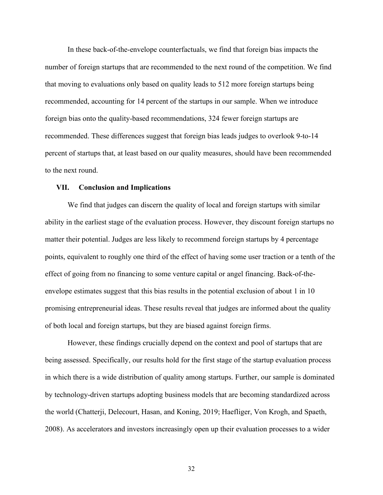In these back-of-the-envelope counterfactuals, we find that foreign bias impacts the number of foreign startups that are recommended to the next round of the competition. We find that moving to evaluations only based on quality leads to 512 more foreign startups being recommended, accounting for 14 percent of the startups in our sample. When we introduce foreign bias onto the quality-based recommendations, 324 fewer foreign startups are recommended. These differences suggest that foreign bias leads judges to overlook 9-to-14 percent of startups that, at least based on our quality measures, should have been recommended to the next round.

#### **VII. Conclusion and Implications**

We find that judges can discern the quality of local and foreign startups with similar ability in the earliest stage of the evaluation process. However, they discount foreign startups no matter their potential. Judges are less likely to recommend foreign startups by 4 percentage points, equivalent to roughly one third of the effect of having some user traction or a tenth of the effect of going from no financing to some venture capital or angel financing. Back-of-theenvelope estimates suggest that this bias results in the potential exclusion of about 1 in 10 promising entrepreneurial ideas. These results reveal that judges are informed about the quality of both local and foreign startups, but they are biased against foreign firms.

However, these findings crucially depend on the context and pool of startups that are being assessed. Specifically, our results hold for the first stage of the startup evaluation process in which there is a wide distribution of quality among startups. Further, our sample is dominated by technology-driven startups adopting business models that are becoming standardized across the world (Chatterji, Delecourt, Hasan, and Koning, 2019; Haefliger, Von Krogh, and Spaeth, 2008). As accelerators and investors increasingly open up their evaluation processes to a wider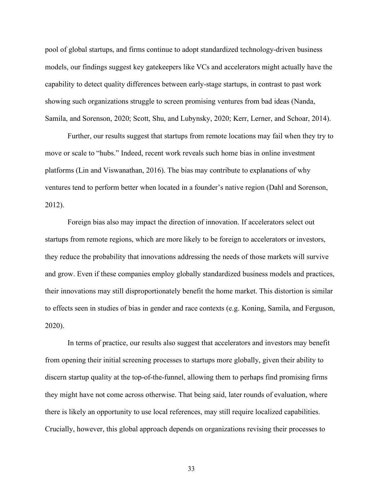pool of global startups, and firms continue to adopt standardized technology-driven business models, our findings suggest key gatekeepers like VCs and accelerators might actually have the capability to detect quality differences between early-stage startups, in contrast to past work showing such organizations struggle to screen promising ventures from bad ideas (Nanda, Samila, and Sorenson, 2020; Scott, Shu, and Lubynsky, 2020; Kerr, Lerner, and Schoar, 2014).

Further, our results suggest that startups from remote locations may fail when they try to move or scale to "hubs." Indeed, recent work reveals such home bias in online investment platforms (Lin and Viswanathan, 2016). The bias may contribute to explanations of why ventures tend to perform better when located in a founder's native region (Dahl and Sorenson, 2012).

Foreign bias also may impact the direction of innovation. If accelerators select out startups from remote regions, which are more likely to be foreign to accelerators or investors, they reduce the probability that innovations addressing the needs of those markets will survive and grow. Even if these companies employ globally standardized business models and practices, their innovations may still disproportionately benefit the home market. This distortion is similar to effects seen in studies of bias in gender and race contexts (e.g. Koning, Samila, and Ferguson, 2020).

In terms of practice, our results also suggest that accelerators and investors may benefit from opening their initial screening processes to startups more globally, given their ability to discern startup quality at the top-of-the-funnel, allowing them to perhaps find promising firms they might have not come across otherwise. That being said, later rounds of evaluation, where there is likely an opportunity to use local references, may still require localized capabilities. Crucially, however, this global approach depends on organizations revising their processes to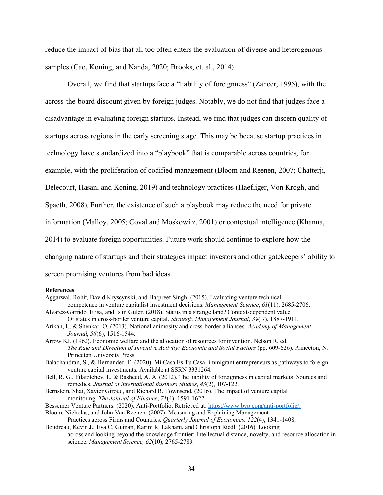reduce the impact of bias that all too often enters the evaluation of diverse and heterogenous samples (Cao, Koning, and Nanda, 2020; Brooks, et. al., 2014).

Overall, we find that startups face a "liability of foreignness" (Zaheer, 1995), with the across-the-board discount given by foreign judges. Notably, we do not find that judges face a disadvantage in evaluating foreign startups. Instead, we find that judges can discern quality of startups across regions in the early screening stage. This may be because startup practices in technology have standardized into a "playbook" that is comparable across countries, for example, with the proliferation of codified management (Bloom and Reenen, 2007; Chatterji, Delecourt, Hasan, and Koning, 2019) and technology practices (Haefliger, Von Krogh, and Spaeth, 2008). Further, the existence of such a playbook may reduce the need for private information (Malloy, 2005; Coval and Moskowitz, 2001) or contextual intelligence (Khanna, 2014) to evaluate foreign opportunities. Future work should continue to explore how the changing nature of startups and their strategies impact investors and other gatekeepers' ability to screen promising ventures from bad ideas.

#### **References**

- Aggarwal, Rohit, David Kryscynski, and Harpreet Singh. (2015). Evaluating venture technical competence in venture capitalist investment decisions. *Management Science*, *61*(11), 2685-2706.
- Alvarez-Garrido, Elisa, and Is in Guler. (2018). Status in a strange land? Context-dependent value Of status in cross-border venture capital. *Strategic Management Journal*, *39*( 7), 1887-1911.
- Arikan, I., & Shenkar, O. (2013). National animosity and cross-border alliances. *Academy of Management Journal*, *56*(6), 1516-1544.
- Arrow KJ. (1962). Economic welfare and the allocation of resources for invention. Nelson R, ed. *The Rate and Direction of Inventive Activity: Economic and Social Factors (pp. 609-626). Princeton, NJ:* Princeton University Press.
- Balachandran, S., & Hernandez, E. (2020). Mi Casa Es Tu Casa: immigrant entrepreneurs as pathways to foreign venture capital investments. Available at SSRN 3331264.
- Bell, R. G., Filatotchev, I., & Rasheed, A. A. (2012). The liability of foreignness in capital markets: Sources and remedies. *Journal of International Business Studies*, *43*(2), 107-122.
- Bernstein, Shai, Xavier Giroud, and Richard R. Townsend. (2016). The impact of venture capital monitoring. *The Journal of Finance*, *71*(4), 1591-1622.
- Bessemer Venture Partners. (2020). Anti-Portfolio. Retrieved at: https://www.bvp.com/anti-portfolio/.

Bloom, Nicholas, and John Van Reenen. (2007). Measuring and Explaining Management Practices across Firms and Countries. *Quarterly Journal of Economics, 122*(4), 1341-1408.

Boudreau, Kevin J., Eva C. Guinan, Karim R. Lakhani, and Christoph Riedl. (2016). Looking across and looking beyond the knowledge frontier: Intellectual distance, novelty, and resource allocation in science. *Management Science, 62*(10), 2765-2783.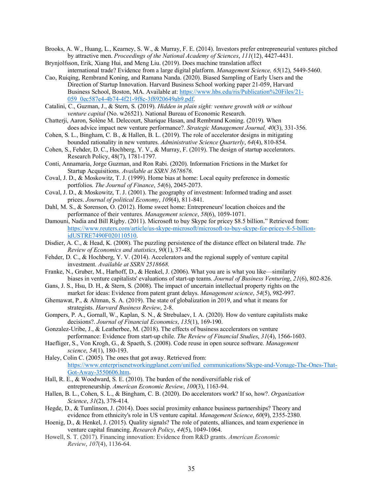- Brooks, A. W., Huang, L., Kearney, S. W., & Murray, F. E. (2014). Investors prefer entrepreneurial ventures pitched by attractive men. *Proceedings of the National Academy of Sciences*, *111*(12), 4427-4431.
- Brynjolfsson, Erik, Xiang Hui, and Meng Liu. (2019). Does machine translation affect international trade? Evidence from a large digital platform. *Management Science, 65*(12), 5449-5460.
- Cao, Ruiqing, Rembrand Koning, and Ramana Nanda. (2020). Biased Sampling of Early Users and the Direction of Startup Innovation. Harvard Business School working paper 21-059, Harvard Business School, Boston, MA. Available at: https://www.hbs.edu/ris/Publication%20Files/21- 059\_0ec587e4-4b74-4f21-9f8c-3f8920649ab9.pdf.
- Catalini, C., Guzman, J., & Stern, S. (2019). *Hidden in plain sight: venture growth with or without venture capital* (No. w26521). National Bureau of Economic Research.
- Chatterji, Aaron, Solène M. Delecourt, Sharique Hasan, and Rembrand Koning. (2019). When does advice impact new venture performance?. *Strategic Management Journal, 40*(3), 331-356.
- Cohen, S. L., Bingham, C. B., & Hallen, B. L. (2019). The role of accelerator designs in mitigating bounded rationality in new ventures. *Administrative Science Quarterly*, *64*(4), 810-854.
- Cohen, S., Fehder, D. C., Hochberg, Y. V., & Murray, F. (2019). The design of startup accelerators. Research Policy, 48(7), 1781-1797.
- Conti, Annamaria, Jorge Guzman, and Ron Rabi. (2020). Information Frictions in the Market for Startup Acquisitions. *Available at SSRN 3678676*.
- Coval, J. D., & Moskowitz, T. J. (1999). Home bias at home: Local equity preference in domestic portfolios. *The Journal of Finance*, *54*(6), 2045-2073.
- Coval, J. D., & Moskowitz, T. J. (2001). The geography of investment: Informed trading and asset prices. *Journal of political Economy*, *109*(4), 811-841.
- Dahl, M. S., & Sorenson, O. (2012). Home sweet home: Entrepreneurs' location choices and the performance of their ventures. *Management science*, *58*(6), 1059-1071.
- Damouni, Nadia and Bill Rigby. (2011). Microsoft to buy Skype for pricey \$8.5 billion." Retrieved from: https://www.reuters.com/article/us-skype-microsoft/microsoft-to-buy-skype-for-pricey-8-5-billionidUSTRE7490F020110510.
- Disdier, A. C., & Head, K. (2008). The puzzling persistence of the distance effect on bilateral trade. *The Review of Economics and statistics*, *90*(1), 37-48.
- Fehder, D. C., & Hochberg, Y. V. (2014). Accelerators and the regional supply of venture capital investment. *Available at SSRN 2518668*.
- Franke, N., Gruber, M., Harhoff, D., & Henkel, J. (2006). What you are is what you like—similarity biases in venture capitalists' evaluations of start-up teams. *Journal of Business Venturing*, *21*(6), 802-826.
- Gans, J. S., Hsu, D. H., & Stern, S. (2008). The impact of uncertain intellectual property rights on the market for ideas: Evidence from patent grant delays. *Management science*, *54*(5), 982-997.
- Ghemawat, P., & Altman, S. A. (2019). The state of globalization in 2019, and what it means for strategists. *Harvard Business Review*, 2-8.
- Gompers, P. A., Gornall, W., Kaplan, S. N., & Strebulaev, I. A. (2020). How do venture capitalists make decisions?. *Journal of Financial Economics*, *135*(1), 169-190.
- Gonzalez-Uribe, J., & Leatherbee, M. (2018). The effects of business accelerators on venture performance: Evidence from start-up chile. *The Review of Financial Studies*, *31*(4), 1566-1603.
- Haefliger, S., Von Krogh, G., & Spaeth, S. (2008). Code reuse in open source software. *Management science*, *54*(1), 180-193.
- Haley, Colin C. (2005). The ones that got away. Retrieved from: https://www.enterprisenetworkingplanet.com/unified\_communications/Skype-and-Vonage-The-Ones-That-Got-Away-3550606.htm.
- Hall, R. E., & Woodward, S. E. (2010). The burden of the nondiversifiable risk of entrepreneurship. *American Economic Review*, *100*(3), 1163-94.
- Hallen, B. L., Cohen, S. L., & Bingham, C. B. (2020). Do accelerators work? If so, how?. *Organization Science*, *31*(2), 378-414.
- Hegde, D., & Tumlinson, J. (2014). Does social proximity enhance business partnerships? Theory and evidence from ethnicity's role in US venture capital. *Management Science*, *60*(9), 2355-2380.
- Hoenig, D., & Henkel, J. (2015). Quality signals? The role of patents, alliances, and team experience in venture capital financing. *Research Policy*, *44*(5), 1049-1064.
- Howell, S. T. (2017). Financing innovation: Evidence from R&D grants. *American Economic Review*, *107*(4), 1136-64.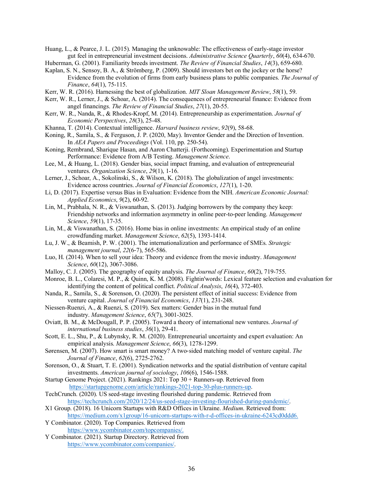Huang, L., & Pearce, J. L. (2015). Managing the unknowable: The effectiveness of early-stage investor gut feel in entrepreneurial investment decisions. *Administrative Science Quarterly*, *60*(4), 634-670.

Huberman, G. (2001). Familiarity breeds investment. *The Review of Financial Studies*, *14*(3), 659-680.

- Kaplan, S. N., Sensoy, B. A., & Strömberg, P. (2009). Should investors bet on the jockey or the horse? Evidence from the evolution of firms from early business plans to public companies. *The Journal of Finance*, *64*(1), 75-115.
- Kerr, W. R. (2016). Harnessing the best of globalization. *MIT Sloan Management Review*, *58*(1), 59.
- Kerr, W. R., Lerner, J., & Schoar, A. (2014). The consequences of entrepreneurial finance: Evidence from angel financings. *The Review of Financial Studies*, *27*(1), 20-55.
- Kerr, W. R., Nanda, R., & Rhodes-Kropf, M. (2014). Entrepreneurship as experimentation. *Journal of Economic Perspectives*, *28*(3), 25-48.
- Khanna, T. (2014). Contextual intelligence. *Harvard business review*, *92*(9), 58-68.

Koning, R., Samila, S., & Ferguson, J. P. (2020, May). Inventor Gender and the Direction of Invention. In *AEA Papers and Proceedings* (Vol. 110, pp. 250-54).

- Koning, Rembrand, Sharique Hasan, and Aaron Chatterji. (Forthcoming). Experimentation and Startup Performance: Evidence from A/B Testing. *Management Science*.
- Lee, M., & Huang, L. (2018). Gender bias, social impact framing, and evaluation of entrepreneurial ventures. *Organization Science*, *29*(1), 1-16.
- Lerner, J., Schoar, A., Sokolinski, S., & Wilson, K. (2018). The globalization of angel investments: Evidence across countries. *Journal of Financial Economics*, *127*(1), 1-20.
- Li, D. (2017). Expertise versus Bias in Evaluation: Evidence from the NIH. *American Economic Journal: Applied Economics*, *9*(2), 60-92.
- Lin, M., Prabhala, N. R., & Viswanathan, S. (2013). Judging borrowers by the company they keep: Friendship networks and information asymmetry in online peer-to-peer lending. *Management Science*, *59*(1), 17-35.
- Lin, M., & Viswanathan, S. (2016). Home bias in online investments: An empirical study of an online crowdfunding market. *Management Science*, *62*(5), 1393-1414.
- Lu, J. W., & Beamish, P. W. (2001). The internationalization and performance of SMEs. *Strategic management journal*, *22*(6-7), 565-586.
- Luo, H. (2014). When to sell your idea: Theory and evidence from the movie industry. *Management Science*, *60*(12), 3067-3086.
- Malloy, C. J. (2005). The geography of equity analysis. *The Journal of Finance*, *60*(2), 719-755.
- Monroe, B. L., Colaresi, M. P., & Quinn, K. M. (2008). Fightin'words: Lexical feature selection and evaluation for identifying the content of political conflict. *Political Analysis*, *16*(4), 372-403.
- Nanda, R., Samila, S., & Sorenson, O. (2020). The persistent effect of initial success: Evidence from venture capital. *Journal of Financial Economics*, *137*(1), 231-248.
- Niessen-Ruenzi, A., & Ruenzi, S. (2019). Sex matters: Gender bias in the mutual fund industry. *Management Science*, *65*(7), 3001-3025.
- Oviatt, B. M., & McDougall, P. P. (2005). Toward a theory of international new ventures. *Journal of international business studies*, *36*(1), 29-41.
- Scott, E. L., Shu, P., & Lubynsky, R. M. (2020). Entrepreneurial uncertainty and expert evaluation: An empirical analysis. *Management Science*, *66*(3), 1278-1299.
- Sørensen, M. (2007). How smart is smart money? A two-sided matching model of venture capital. *The Journal of Finance*, *62*(6), 2725-2762.
- Sorenson, O., & Stuart, T. E. (2001). Syndication networks and the spatial distribution of venture capital investments. *American journal of sociology*, *106*(6), 1546-1588.
- Startup Genome Project. (2021). Rankings 2021: Top 30 + Runners-up. Retrieved from https://startupgenome.com/article/rankings-2021-top-30-plus-runners-up.
- TechCrunch. (2020). US seed-stage investing flourished during pandemic. Retrieved from https://techcrunch.com/2020/12/24/us-seed-stage-investing-flourished-during-pandemic/.
- X1 Group. (2018). 16 Unicorn Startups with R&D Offices in Ukraine. *Medium*. Retrieved from: https://medium.com/x1group/16-unicorn-startups-with-r-d-offices-in-ukraine-6243cd0ddd6.
- Y Combinator. (2020). Top Companies. Retrieved from https://www.ycombinator.com/topcompanies/.
- Y Combinator. (2021). Startup Directory. Retrieved from https://www.ycombinator.com/companies/.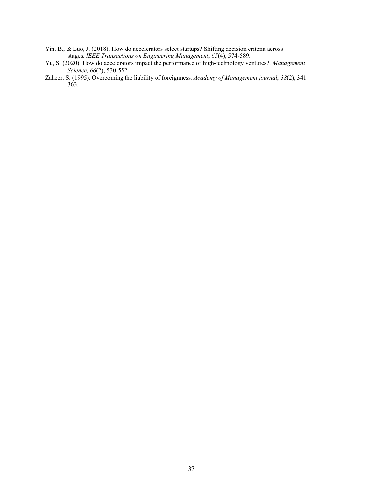- Yin, B., & Luo, J. (2018). How do accelerators select startups? Shifting decision criteria across stages. *IEEE Transactions on Engineering Management*, *65*(4), 574-589.
- Yu, S. (2020). How do accelerators impact the performance of high-technology ventures?. *Management Science*, *66*(2), 530-552.
- Zaheer, S. (1995). Overcoming the liability of foreignness. *Academy of Management journal*, *38*(2), 341 363.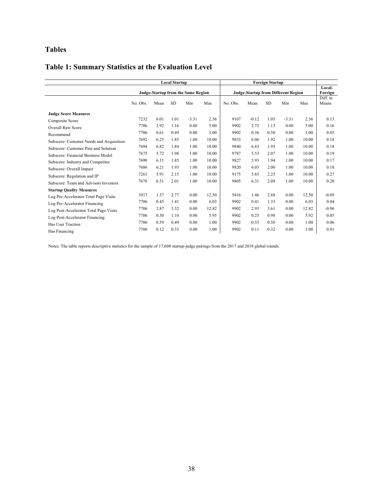# **Tables**

# **Table 1: Summary Statistics at the Evaluation Level**

|                                          | <b>Local Startup</b><br>Judge-Startup from the Same Region |      |           |         | <b>Foreign Startup</b><br><b>Judge-Startup from Different Region</b> |          |         |           | Local-<br>Foreign |       |                   |
|------------------------------------------|------------------------------------------------------------|------|-----------|---------|----------------------------------------------------------------------|----------|---------|-----------|-------------------|-------|-------------------|
|                                          |                                                            |      |           |         |                                                                      |          |         |           |                   |       |                   |
|                                          | No. Obs.                                                   | Mean | <b>SD</b> | Min     | Max                                                                  | No. Obs. | Mean    | <b>SD</b> | Min               | Max   | Diff. in<br>Means |
| <b>Judge Score Measures</b>              |                                                            |      |           |         |                                                                      |          |         |           |                   |       |                   |
| Composite Score                          | 7232                                                       | 0.01 | 1.01      | $-3.31$ | 2.36                                                                 | 9107     | $-0.12$ | 1.05      | $-3.31$           | 2.36  | 0.13              |
| <b>Overall Raw Score</b>                 | 7706                                                       | 2.92 | 1.16      | 0.00    | 5.00                                                                 | 9902     | 2.75    | 1.13      | 0.00              | 5.00  | 0.16              |
| Recommend                                | 7706                                                       | 0.61 | 0.49      | 0.00    | 1.00                                                                 | 9902     | 0.56    | 0.50      | 0.00              | 1.00  | 0.05              |
| Subscore: Customer Needs and Acquisition | 7692                                                       | 6.25 | 1.85      | 1.00    | 10.00                                                                | 9833     | 6.06    | 1.92      | 1.00              | 10.00 | 0.18              |
| Subscore: Customer Pain and Solution     | 7694                                                       | 6.82 | 1.84      | 1.00    | 10.00                                                                | 9840     | 6.63    | 1.95      | 1.00              | 10.00 | 0.18              |
| Subscore: Financial Business Model       | 7675                                                       | 5.72 | 1.98      | 1.00    | 10.00                                                                | 9787     | 5.53    | 2.07      | 1.00              | 10.00 | 0.19              |
| Subscore: Industry and Competitor        | 7690                                                       | 6.11 | 1.85      | 1.00    | 10.00                                                                | 9827     | 5.93    | 1.94      | 1.00              | 10.00 | 0.17              |
| Subscore: Overall Impact                 | 7686                                                       | 6.21 | 1.93      | 1.00    | 10.00                                                                | 9820     | 6.03    | 2.00      | 1.00              | 10.00 | 0.18              |
| Subscore: Regulation and IP              | 7261                                                       | 5.91 | 2.15      | 1.00    | 10.00                                                                | 9175     | 5.65    | 2.25      | 1.00              | 10.00 | 0.27              |
| Subscore: Team and Advisors Investors    | 7678                                                       | 6.51 | 2.01      | 1.00    | 10.00                                                                | 9805     | 6.31    | 2.09      | 1.00              | 10.00 | 0.20              |
| <b>Startup Quality Measures</b>          |                                                            |      |           |         |                                                                      |          |         |           |                   |       |                   |
| Log Pre-Accelerator Total Page Visits    | 3917                                                       | 1.37 | 2.77      | 0.00    | 12.50                                                                | 5816     | 1.46    | 2.88      | 0.00              | 12.50 | $-0.09$           |
| Log Pre-Accelerator Financing            | 7706                                                       | 0.45 | 1.41      | 0.00    | 6.03                                                                 | 9902     | 0.41    | 1.33      | 0.00              | 6.03  | 0.04              |
| Log Post-Accelerator Total Page Visits   | 7706                                                       | 2.87 | 3.52      | 0.00    | 12.82                                                                | 9902     | 2.93    | 3.61      | 0.00              | 12.82 | $-0.06$           |
| Log Post-Accelerator Financing           | 7706                                                       | 0.30 | 1.10      | 0.00    | 5.95                                                                 | 9902     | 0.25    | 0.98      | 0.00              | 5.92  | 0.05              |
| Has User Traction                        | 7706                                                       | 0.59 | 0.49      | 0.00    | 1.00                                                                 | 9902     | 0.53    | 0.50      | 0.00              | 1.00  | 0.06              |
| Has Financing                            | 7706                                                       | 0.12 | 0.33      | 0.00    | 1.00                                                                 | 9902     | 0.11    | 0.32      | 0.00              | 1.00  | 0.01              |

Notes: The table reports descriptive statistics for the sample of 17,608 startup-judge pairings from the 2017 and 2018 global rounds.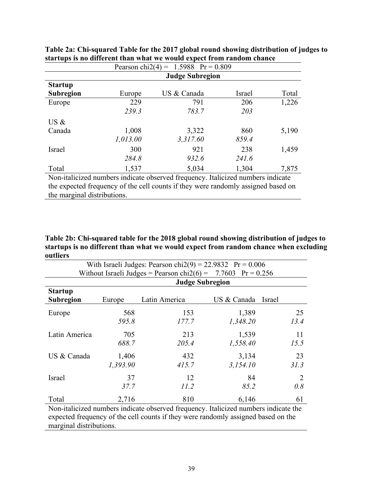| Pearson chi2(4) = $1.5988$ Pr = 0.809                                           |          |             |        |       |  |  |  |  |
|---------------------------------------------------------------------------------|----------|-------------|--------|-------|--|--|--|--|
| <b>Judge Subregion</b>                                                          |          |             |        |       |  |  |  |  |
| <b>Startup</b>                                                                  |          |             |        |       |  |  |  |  |
| <b>Subregion</b>                                                                | Europe   | US & Canada | Israel | Total |  |  |  |  |
| Europe                                                                          | 229      | 791         | 206    | 1,226 |  |  |  |  |
|                                                                                 | 239.3    | 783.7       | 203    |       |  |  |  |  |
| $US \&$                                                                         |          |             |        |       |  |  |  |  |
| Canada                                                                          | 1,008    | 3,322       | 860    | 5,190 |  |  |  |  |
|                                                                                 | 1,013.00 | 3,317.60    | 859.4  |       |  |  |  |  |
| Israel                                                                          | 300      | 921         | 238    | 1,459 |  |  |  |  |
|                                                                                 | 284.8    | 932.6       | 241.6  |       |  |  |  |  |
| Total                                                                           | 1,537    | 5,034       | 1,304  | 7,875 |  |  |  |  |
| Non-italicized numbers indicate observed frequency. Italicized numbers indicate |          |             |        |       |  |  |  |  |

|  | Table 2a: Chi-squared Table for the 2017 global round showing distribution of judges to |  |  |
|--|-----------------------------------------------------------------------------------------|--|--|
|  | startups is no different than what we would expect from random chance                   |  |  |

the expected frequency of the cell counts if they were randomly assigned based on the marginal distributions.

**Table 2b: Chi-squared table for the 2018 global round showing distribution of judges to startups is no different than what we would expect from random chance when excluding outliers**

| With Israeli Judges: Pearson chi $2(9) = 22.9832$ Pr = 0.006    |                                                                                     |               |             |        |  |  |  |  |  |
|-----------------------------------------------------------------|-------------------------------------------------------------------------------------|---------------|-------------|--------|--|--|--|--|--|
| Without Israeli Judges = Pearson chi $2(6)$ = 7.7603 Pr = 0.256 |                                                                                     |               |             |        |  |  |  |  |  |
| <b>Judge Subregion</b>                                          |                                                                                     |               |             |        |  |  |  |  |  |
| <b>Startup</b>                                                  |                                                                                     |               |             |        |  |  |  |  |  |
| <b>Subregion</b>                                                | Europe                                                                              | Latin America | US & Canada | Israel |  |  |  |  |  |
| Europe                                                          | 568                                                                                 | 153           | 1,389       | 25     |  |  |  |  |  |
|                                                                 | 595.8                                                                               | 177.7         | 1,348.20    | 13.4   |  |  |  |  |  |
| Latin America                                                   | 705                                                                                 | 213           | 1,539       | 11     |  |  |  |  |  |
|                                                                 | 688.7                                                                               | 205.4         | 1,558.40    | 15.5   |  |  |  |  |  |
| US & Canada                                                     | 1,406                                                                               | 432           | 3,134       | 23     |  |  |  |  |  |
|                                                                 | 1,393.90                                                                            | 415.7         | 3,154.10    | 31.3   |  |  |  |  |  |
| Israel                                                          | 37                                                                                  | 12            | 84          | 2      |  |  |  |  |  |
|                                                                 | 37.7                                                                                | 11.2          | 85.2        | 0.8    |  |  |  |  |  |
| Total                                                           | 2,716                                                                               | 810           | 6,146       | 61     |  |  |  |  |  |
|                                                                 | Non-italicized numbers indicate observed frequency. Italicized numbers indicate the |               |             |        |  |  |  |  |  |

expected frequency of the cell counts if they were randomly assigned based on the marginal distributions.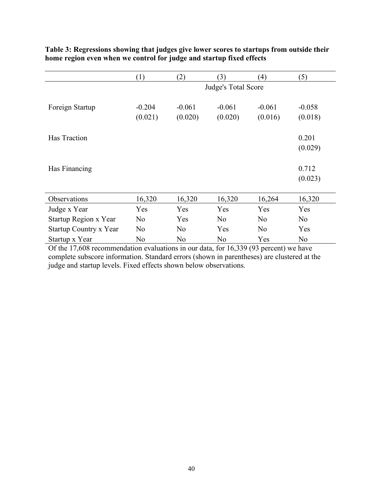|                        | (1)                 | (2)                 | (3)                 | $\left(4\right)$    | (5)                 |  |  |  |
|------------------------|---------------------|---------------------|---------------------|---------------------|---------------------|--|--|--|
|                        |                     | Judge's Total Score |                     |                     |                     |  |  |  |
| Foreign Startup        | $-0.204$<br>(0.021) | $-0.061$<br>(0.020) | $-0.061$<br>(0.020) | $-0.061$<br>(0.016) | $-0.058$<br>(0.018) |  |  |  |
| Has Traction           |                     |                     |                     |                     | 0.201               |  |  |  |
|                        |                     |                     |                     |                     | (0.029)             |  |  |  |
| Has Financing          |                     |                     |                     |                     | 0.712<br>(0.023)    |  |  |  |
| Observations           | 16,320              | 16,320              | 16,320              | 16,264              | 16,320              |  |  |  |
| Judge x Year           | Yes                 | Yes                 | Yes                 | Yes                 | Yes                 |  |  |  |
| Startup Region x Year  | N <sub>0</sub>      | Yes                 | N <sub>o</sub>      | N <sub>o</sub>      | N <sub>o</sub>      |  |  |  |
| Startup Country x Year | N <sub>o</sub>      | N <sub>0</sub>      | Yes                 | N <sub>0</sub>      | Yes                 |  |  |  |
| Startup x Year         | No                  | N <sub>0</sub>      | N <sub>0</sub>      | Yes                 | N <sub>0</sub>      |  |  |  |

# **Table 3: Regressions showing that judges give lower scores to startups from outside their home region even when we control for judge and startup fixed effects**

Of the 17,608 recommendation evaluations in our data, for 16,339 (93 percent) we have complete subscore information. Standard errors (shown in parentheses) are clustered at the judge and startup levels. Fixed effects shown below observations.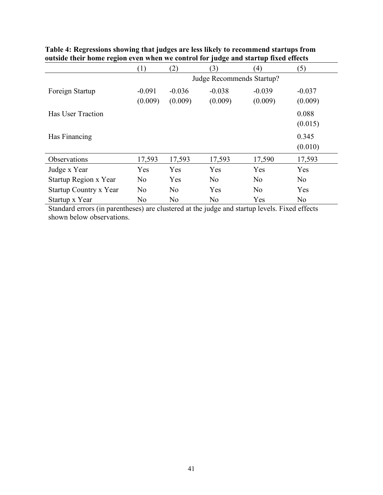|                        | (1)                 | (2)                       | (3)                 | (4)                 | (5)                 |  |  |
|------------------------|---------------------|---------------------------|---------------------|---------------------|---------------------|--|--|
|                        |                     | Judge Recommends Startup? |                     |                     |                     |  |  |
| Foreign Startup        | $-0.091$<br>(0.009) | $-0.036$<br>(0.009)       | $-0.038$<br>(0.009) | $-0.039$<br>(0.009) | $-0.037$<br>(0.009) |  |  |
| Has User Traction      |                     |                           |                     |                     | 0.088<br>(0.015)    |  |  |
| Has Financing          |                     |                           |                     |                     | 0.345<br>(0.010)    |  |  |
| Observations           | 17,593              | 17,593                    | 17,593              | 17,590              | 17,593              |  |  |
| Judge x Year           | Yes                 | Yes                       | Yes                 | Yes                 | Yes                 |  |  |
| Startup Region x Year  | N <sub>0</sub>      | Yes                       | N <sub>o</sub>      | N <sub>0</sub>      | N <sub>o</sub>      |  |  |
| Startup Country x Year | N <sub>o</sub>      | N <sub>0</sub>            | Yes                 | N <sub>0</sub>      | Yes                 |  |  |
| Startup x Year         | N <sub>0</sub>      | N <sub>0</sub>            | N <sub>0</sub>      | Yes                 | N <sub>0</sub>      |  |  |

# **Table 4: Regressions showing that judges are less likely to recommend startups from outside their home region even when we control for judge and startup fixed effects**

Standard errors (in parentheses) are clustered at the judge and startup levels. Fixed effects shown below observations.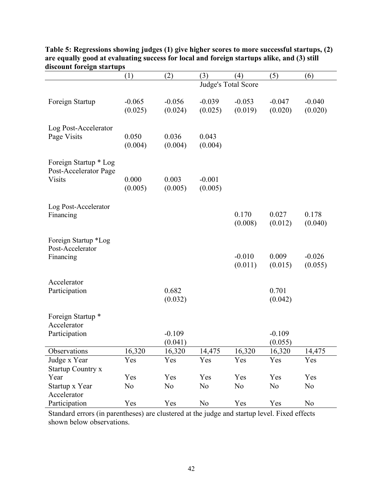|                                             | (1)            | (2)            | (3)                 | (4)            | (5)            | (6)            |
|---------------------------------------------|----------------|----------------|---------------------|----------------|----------------|----------------|
|                                             |                |                | Judge's Total Score |                |                |                |
|                                             |                |                |                     |                |                |                |
| Foreign Startup                             | $-0.065$       | $-0.056$       | $-0.039$            | $-0.053$       | $-0.047$       | $-0.040$       |
|                                             | (0.025)        | (0.024)        | (0.025)             | (0.019)        | (0.020)        | (0.020)        |
|                                             |                |                |                     |                |                |                |
| Log Post-Accelerator<br>Page Visits         | 0.050          | 0.036          | 0.043               |                |                |                |
|                                             | (0.004)        | (0.004)        | (0.004)             |                |                |                |
|                                             |                |                |                     |                |                |                |
| Foreign Startup * Log                       |                |                |                     |                |                |                |
| Post-Accelerator Page                       |                |                |                     |                |                |                |
| <b>Visits</b>                               | 0.000          | 0.003          | $-0.001$            |                |                |                |
|                                             | (0.005)        | (0.005)        | (0.005)             |                |                |                |
|                                             |                |                |                     |                |                |                |
| Log Post-Accelerator                        |                |                |                     |                |                |                |
| Financing                                   |                |                |                     | 0.170          | 0.027          | 0.178          |
|                                             |                |                |                     | (0.008)        | (0.012)        | (0.040)        |
|                                             |                |                |                     |                |                |                |
| Foreign Startup *Log<br>Post-Accelerator    |                |                |                     |                |                |                |
| Financing                                   |                |                |                     | $-0.010$       | 0.009          | $-0.026$       |
|                                             |                |                |                     | (0.011)        | (0.015)        | (0.055)        |
|                                             |                |                |                     |                |                |                |
| Accelerator                                 |                |                |                     |                |                |                |
| Participation                               |                | 0.682          |                     |                | 0.701          |                |
|                                             |                | (0.032)        |                     |                | (0.042)        |                |
|                                             |                |                |                     |                |                |                |
| Foreign Startup <sup>*</sup><br>Accelerator |                |                |                     |                |                |                |
| Participation                               |                | $-0.109$       |                     |                | $-0.109$       |                |
|                                             |                | (0.041)        |                     |                | (0.055)        |                |
| Observations                                | 16,320         | 16,320         | 14,475              | 16,320         | 16,320         | 14,475         |
| Judge x Year                                | Yes            | Yes            | Yes                 | Yes            | Yes            | Yes            |
| <b>Startup Country x</b>                    |                |                |                     |                |                |                |
| Year                                        | Yes            | Yes            | Yes                 | Yes            | Yes            | Yes            |
| Startup x Year                              | N <sub>0</sub> | N <sub>0</sub> | N <sub>0</sub>      | N <sub>0</sub> | N <sub>0</sub> | N <sub>0</sub> |
| Accelerator                                 |                |                |                     |                |                |                |
| Participation                               | Yes            | Yes            | No                  | Yes            | Yes            | N <sub>0</sub> |
|                                             |                |                |                     |                |                |                |

**Table 5: Regressions showing judges (1) give higher scores to more successful startups, (2) are equally good at evaluating success for local and foreign startups alike, and (3) still discount foreign startups**

Standard errors (in parentheses) are clustered at the judge and startup level. Fixed effects shown below observations.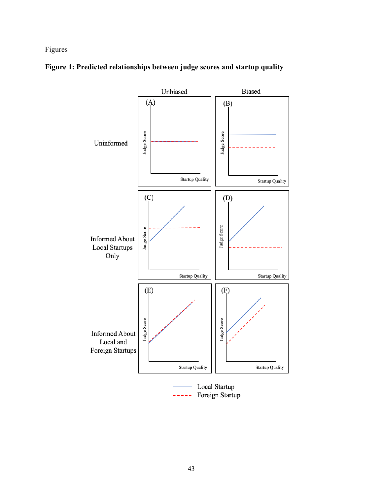# Figures



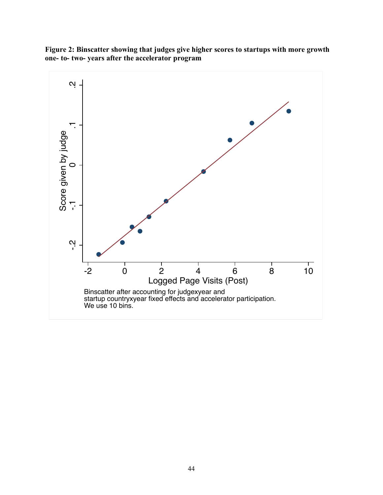

**Figure 2: Binscatter showing that judges give higher scores to startups with more growth one- to- two- years after the accelerator program**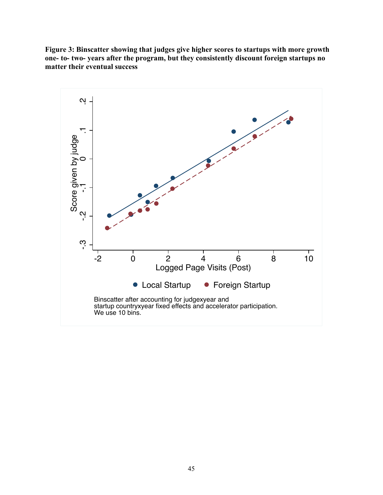**Figure 3: Binscatter showing that judges give higher scores to startups with more growth one- to- two- years after the program, but they consistently discount foreign startups no matter their eventual success**

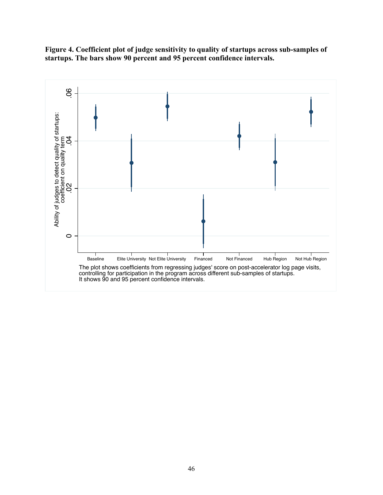

**Figure 4. Coefficient plot of judge sensitivity to quality of startups across sub-samples of startups. The bars show 90 percent and 95 percent confidence intervals.**